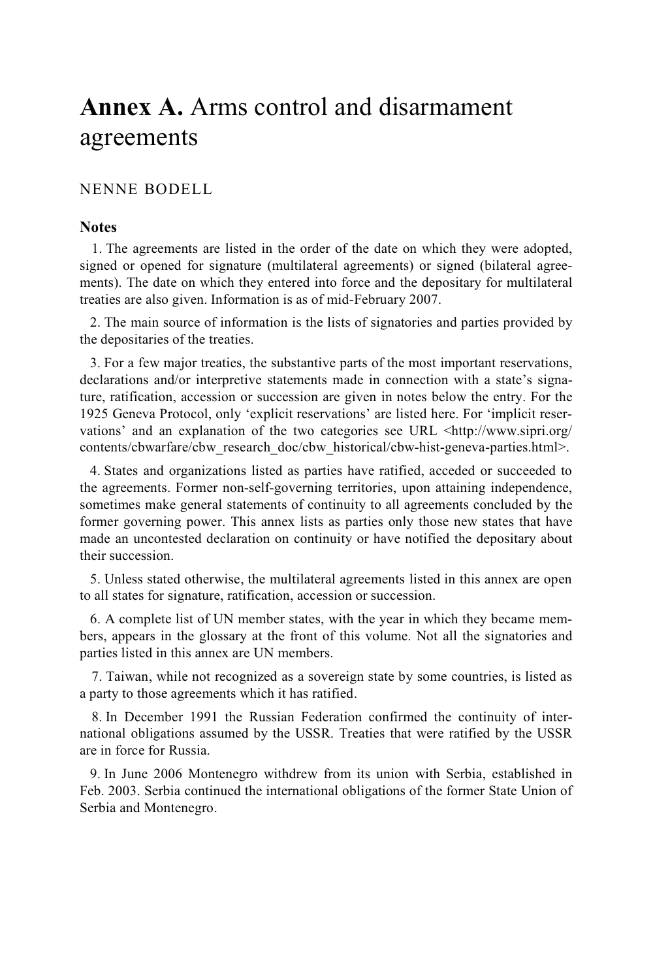# **Annex A.** Arms control and disarmament agreements

# NENNE BODELL

### **Notes**

1. The agreements are listed in the order of the date on which they were adopted, signed or opened for signature (multilateral agreements) or signed (bilateral agreements). The date on which they entered into force and the depositary for multilateral treaties are also given. Information is as of mid-February 2007.

2. The main source of information is the lists of signatories and parties provided by the depositaries of the treaties.

3. For a few major treaties, the substantive parts of the most important reservations, declarations and/or interpretive statements made in connection with a state's signature, ratification, accession or succession are given in notes below the entry. For the 1925 Geneva Protocol, only 'explicit reservations' are listed here. For 'implicit reservations' and an explanation of the two categories see URL <http://www.sipri.org/ contents/cbwarfare/cbw\_research\_doc/cbw\_historical/cbw-hist-geneva-parties.html>.

4. States and organizations listed as parties have ratified, acceded or succeeded to the agreements. Former non-self-governing territories, upon attaining independence, sometimes make general statements of continuity to all agreements concluded by the former governing power. This annex lists as parties only those new states that have made an uncontested declaration on continuity or have notified the depositary about their succession.

5. Unless stated otherwise, the multilateral agreements listed in this annex are open to all states for signature, ratification, accession or succession.

6. A complete list of UN member states, with the year in which they became members, appears in the glossary at the front of this volume. Not all the signatories and parties listed in this annex are UN members.

7. Taiwan, while not recognized as a sovereign state by some countries, is listed as a party to those agreements which it has ratified.

8. In December 1991 the Russian Federation confirmed the continuity of international obligations assumed by the USSR. Treaties that were ratified by the USSR are in force for Russia.

9. In June 2006 Montenegro withdrew from its union with Serbia, established in Feb. 2003. Serbia continued the international obligations of the former State Union of Serbia and Montenegro.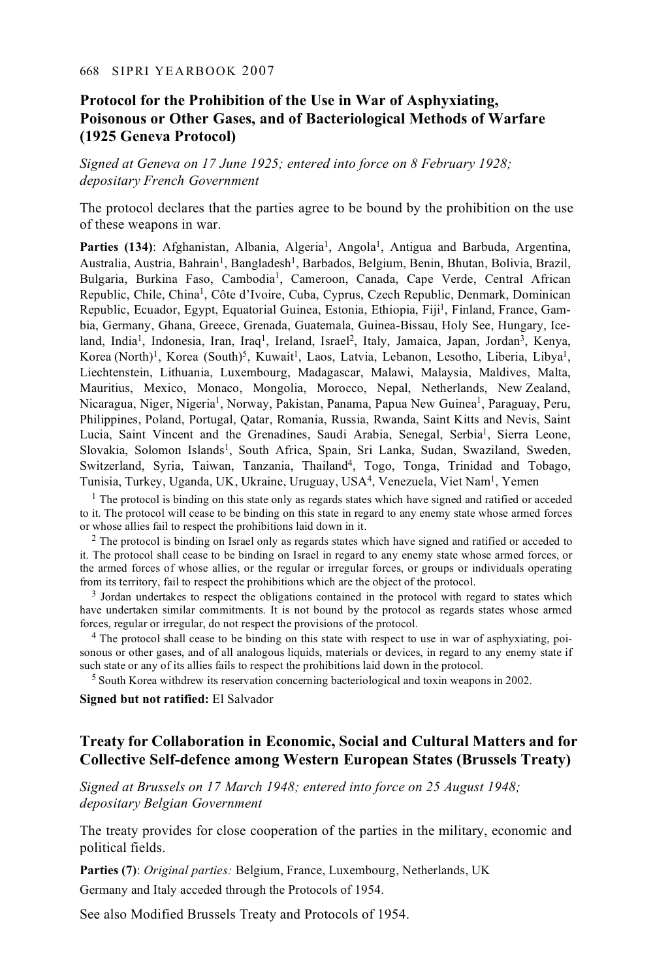# **Protocol for the Prohibition of the Use in War of Asphyxiating, Poisonous or Other Gases, and of Bacteriological Methods of Warfare (1925 Geneva Protocol)**

*Signed at Geneva on 17 June 1925; entered into force on 8 February 1928; depositary French Government* 

The protocol declares that the parties agree to be bound by the prohibition on the use of these weapons in war.

Parties (134): Afghanistan, Albania, Algeria<sup>1</sup>, Angola<sup>1</sup>, Antigua and Barbuda, Argentina, Australia, Austria, Bahrain<sup>1</sup>, Bangladesh<sup>1</sup>, Barbados, Belgium, Benin, Bhutan, Bolivia, Brazil, Bulgaria, Burkina Faso, Cambodia<sup>1</sup>, Cameroon, Canada, Cape Verde, Central African Republic, Chile, China1, Côte d'Ivoire, Cuba, Cyprus, Czech Republic, Denmark, Dominican Republic, Ecuador, Egypt, Equatorial Guinea, Estonia, Ethiopia, Fiji1, Finland, France, Gambia, Germany, Ghana, Greece, Grenada, Guatemala, Guinea-Bissau, Holy See, Hungary, Iceland, India<sup>1</sup>, Indonesia, Iran, Iraq<sup>1</sup>, Ireland, Israel<sup>2</sup>, Italy, Jamaica, Japan, Jordan<sup>3</sup>, Kenya, Korea (North)<sup>1</sup>, Korea (South)<sup>5</sup>, Kuwait<sup>1</sup>, Laos, Latvia, Lebanon, Lesotho, Liberia, Libya<sup>1</sup>, Liechtenstein, Lithuania, Luxembourg, Madagascar, Malawi, Malaysia, Maldives, Malta, Mauritius, Mexico, Monaco, Mongolia, Morocco, Nepal, Netherlands, New Zealand, Nicaragua, Niger, Nigeria<sup>1</sup>, Norway, Pakistan, Panama, Papua New Guinea<sup>1</sup>, Paraguay, Peru, Philippines, Poland, Portugal, Qatar, Romania, Russia, Rwanda, Saint Kitts and Nevis, Saint Lucia, Saint Vincent and the Grenadines, Saudi Arabia, Senegal, Serbia<sup>1</sup>, Sierra Leone, Slovakia, Solomon Islands<sup>1</sup>, South Africa, Spain, Sri Lanka, Sudan, Swaziland, Sweden, Switzerland, Syria, Taiwan, Tanzania, Thailand<sup>4</sup>, Togo, Tonga, Trinidad and Tobago, Tunisia, Turkey, Uganda, UK, Ukraine, Uruguay, USA4, Venezuela, Viet Nam1, Yemen

 $<sup>1</sup>$  The protocol is binding on this state only as regards states which have signed and ratified or acceded</sup> to it. The protocol will cease to be binding on this state in regard to any enemy state whose armed forces or whose allies fail to respect the prohibitions laid down in it.

<sup>2</sup> The protocol is binding on Israel only as regards states which have signed and ratified or acceded to it. The protocol shall cease to be binding on Israel in regard to any enemy state whose armed forces, or the armed forces of whose allies, or the regular or irregular forces, or groups or individuals operating from its territory, fail to respect the prohibitions which are the object of the protocol.<br><sup>3</sup> Jordan undertakes to respect the obligations contained in the protocol with regard to states which

have undertaken similar commitments. It is not bound by the protocol as regards states whose armed forces, regular or irregular, do not respect the provisions of the protocol.<br><sup>4</sup> The protocol shall cease to be binding on this state with respect to use in war of asphyxiating, poi-

sonous or other gases, and of all analogous liquids, materials or devices, in regard to any enemy state if such state or any of its allies fails to respect the prohibitions laid down in the protocol.

5 South Korea withdrew its reservation concerning bacteriological and toxin weapons in 2002.

**Signed but not ratified:** El Salvador

# **Treaty for Collaboration in Economic, Social and Cultural Matters and for Collective Self-defence among Western European States (Brussels Treaty)**

*Signed at Brussels on 17 March 1948; entered into force on 25 August 1948; depositary Belgian Government* 

The treaty provides for close cooperation of the parties in the military, economic and political fields.

**Parties (7)**: *Original parties:* Belgium, France, Luxembourg, Netherlands, UK Germany and Italy acceded through the Protocols of 1954.

See also Modified Brussels Treaty and Protocols of 1954.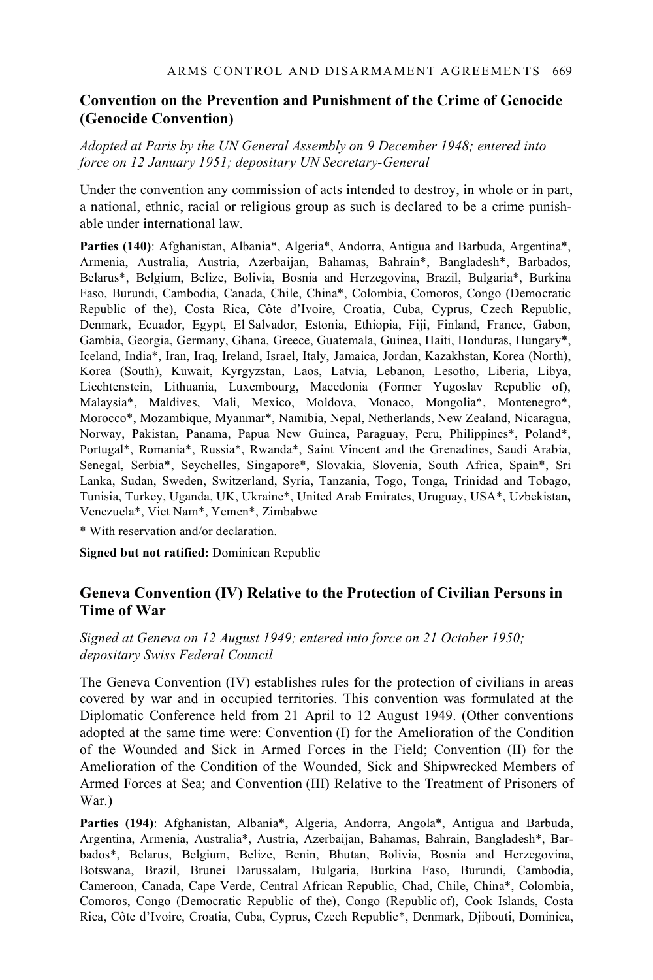# **Convention on the Prevention and Punishment of the Crime of Genocide (Genocide Convention)**

*Adopted at Paris by the UN General Assembly on 9 December 1948; entered into force on 12 January 1951; depositary UN Secretary-General* 

Under the convention any commission of acts intended to destroy, in whole or in part, a national, ethnic, racial or religious group as such is declared to be a crime punishable under international law.

**Parties (140)**: Afghanistan, Albania\*, Algeria\*, Andorra, Antigua and Barbuda, Argentina\*, Armenia, Australia, Austria, Azerbaijan, Bahamas, Bahrain\*, Bangladesh\*, Barbados, Belarus\*, Belgium, Belize, Bolivia, Bosnia and Herzegovina, Brazil, Bulgaria\*, Burkina Faso, Burundi, Cambodia, Canada, Chile, China\*, Colombia, Comoros, Congo (Democratic Republic of the), Costa Rica, Côte d'Ivoire, Croatia, Cuba, Cyprus, Czech Republic, Denmark, Ecuador, Egypt, El Salvador, Estonia, Ethiopia, Fiji, Finland, France, Gabon, Gambia, Georgia, Germany, Ghana, Greece, Guatemala, Guinea, Haiti, Honduras, Hungary\*, Iceland, India\*, Iran, Iraq, Ireland, Israel, Italy, Jamaica, Jordan, Kazakhstan, Korea (North), Korea (South), Kuwait, Kyrgyzstan, Laos, Latvia, Lebanon, Lesotho, Liberia, Libya, Liechtenstein, Lithuania, Luxembourg, Macedonia (Former Yugoslav Republic of), Malaysia\*, Maldives, Mali, Mexico, Moldova, Monaco, Mongolia\*, Montenegro\*, Morocco\*, Mozambique, Myanmar\*, Namibia, Nepal, Netherlands, New Zealand, Nicaragua, Norway, Pakistan, Panama, Papua New Guinea, Paraguay, Peru, Philippines\*, Poland\*, Portugal\*, Romania\*, Russia\*, Rwanda\*, Saint Vincent and the Grenadines, Saudi Arabia, Senegal, Serbia\*, Seychelles, Singapore\*, Slovakia, Slovenia, South Africa, Spain\*, Sri Lanka, Sudan, Sweden, Switzerland, Syria, Tanzania, Togo, Tonga, Trinidad and Tobago, Tunisia, Turkey, Uganda, UK, Ukraine\*, United Arab Emirates, Uruguay, USA\*, Uzbekistan**,**  Venezuela\*, Viet Nam\*, Yemen\*, Zimbabwe

\* With reservation and/or declaration.

**Signed but not ratified:** Dominican Republic

# **Geneva Convention (IV) Relative to the Protection of Civilian Persons in Time of War**

#### *Signed at Geneva on 12 August 1949; entered into force on 21 October 1950; depositary Swiss Federal Council*

The Geneva Convention (IV) establishes rules for the protection of civilians in areas covered by war and in occupied territories. This convention was formulated at the Diplomatic Conference held from 21 April to 12 August 1949. (Other conventions adopted at the same time were: Convention (I) for the Amelioration of the Condition of the Wounded and Sick in Armed Forces in the Field; Convention (II) for the Amelioration of the Condition of the Wounded, Sick and Shipwrecked Members of Armed Forces at Sea; and Convention (III) Relative to the Treatment of Prisoners of War.)

**Parties (194)**: Afghanistan, Albania\*, Algeria, Andorra, Angola\*, Antigua and Barbuda, Argentina, Armenia, Australia\*, Austria, Azerbaijan, Bahamas, Bahrain, Bangladesh\*, Barbados\*, Belarus, Belgium, Belize, Benin, Bhutan, Bolivia, Bosnia and Herzegovina, Botswana, Brazil, Brunei Darussalam, Bulgaria, Burkina Faso, Burundi, Cambodia, Cameroon, Canada, Cape Verde, Central African Republic, Chad, Chile, China\*, Colombia, Comoros, Congo (Democratic Republic of the), Congo (Republic of), Cook Islands, Costa Rica, Côte d'Ivoire, Croatia, Cuba, Cyprus, Czech Republic\*, Denmark, Djibouti, Dominica,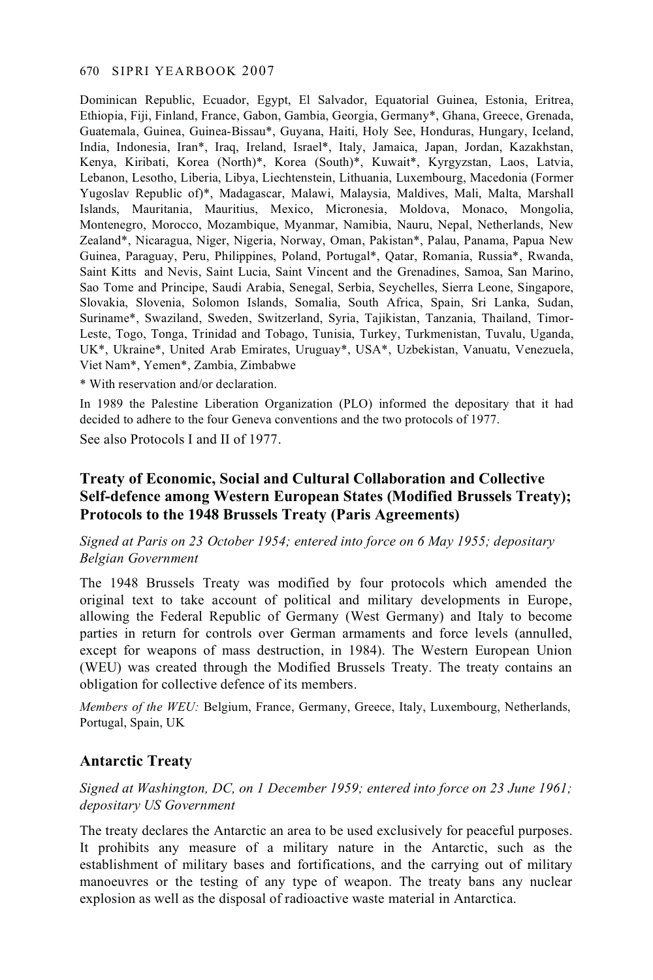Dominican Republic, Ecuador, Egypt, El Salvador, Equatorial Guinea, Estonia, Eritrea, Ethiopia, Fiji, Finland, France, Gabon, Gambia, Georgia, Germany\*, Ghana, Greece, Grenada, Guatemala, Guinea, Guinea-Bissau\*, Guyana, Haiti, Holy See, Honduras, Hungary, Iceland, India, Indonesia, Iran\*, Iraq, Ireland, Israel\*, Italy, Jamaica, Japan, Jordan, Kazakhstan, Kenya, Kiribati, Korea (North)\*, Korea (South)\*, Kuwait\*, Kyrgyzstan, Laos, Latvia, Lebanon, Lesotho, Liberia, Libya, Liechtenstein, Lithuania, Luxembourg, Macedonia (Former Yugoslav Republic of)\*, Madagascar, Malawi, Malaysia, Maldives, Mali, Malta, Marshall Islands, Mauritania, Mauritius, Mexico, Micronesia, Moldova, Monaco, Mongolia, Montenegro, Morocco, Mozambique, Myanmar, Namibia, Nauru, Nepal, Netherlands, New Zealand\*, Nicaragua, Niger, Nigeria, Norway, Oman, Pakistan\*, Palau, Panama, Papua New Guinea, Paraguay, Peru, Philippines, Poland, Portugal\*, Qatar, Romania, Russia\*, Rwanda, Saint Kitts and Nevis, Saint Lucia, Saint Vincent and the Grenadines, Samoa, San Marino, Sao Tome and Principe, Saudi Arabia, Senegal, Serbia, Seychelles, Sierra Leone, Singapore, Slovakia, Slovenia, Solomon Islands, Somalia, South Africa, Spain, Sri Lanka, Sudan, Suriname\*, Swaziland, Sweden, Switzerland, Syria, Tajikistan, Tanzania, Thailand, Timor-Leste, Togo, Tonga, Trinidad and Tobago, Tunisia, Turkey, Turkmenistan, Tuvalu, Uganda, UK\*, Ukraine\*, United Arab Emirates, Uruguay\*, USA\*, Uzbekistan, Vanuatu, Venezuela, Viet Nam\*, Yemen\*, Zambia, Zimbabwe

\* With reservation and/or declaration.

In 1989 the Palestine Liberation Organization (PLO) informed the depositary that it had decided to adhere to the four Geneva conventions and the two protocols of 1977.

See also Protocols I and II of 1977.

# **Treaty of Economic, Social and Cultural Collaboration and Collective Self-defence among Western European States (Modified Brussels Treaty); Protocols to the 1948 Brussels Treaty (Paris Agreements)**

*Signed at Paris on 23 October 1954; entered into force on 6 May 1955; depositary Belgian Government* 

The 1948 Brussels Treaty was modified by four protocols which amended the original text to take account of political and military developments in Europe, allowing the Federal Republic of Germany (West Germany) and Italy to become parties in return for controls over German armaments and force levels (annulled, except for weapons of mass destruction, in 1984). The Western European Union (WEU) was created through the Modified Brussels Treaty. The treaty contains an obligation for collective defence of its members.

*Members of the WEU:* Belgium, France, Germany, Greece, Italy, Luxembourg, Netherlands, Portugal, Spain, UK

### **Antarctic Treaty**

*Signed at Washington, DC, on 1 December 1959; entered into force on 23 June 1961; depositary US Government* 

The treaty declares the Antarctic an area to be used exclusively for peaceful purposes. It prohibits any measure of a military nature in the Antarctic, such as the establishment of military bases and fortifications, and the carrying out of military manoeuvres or the testing of any type of weapon. The treaty bans any nuclear explosion as well as the disposal of radioactive waste material in Antarctica.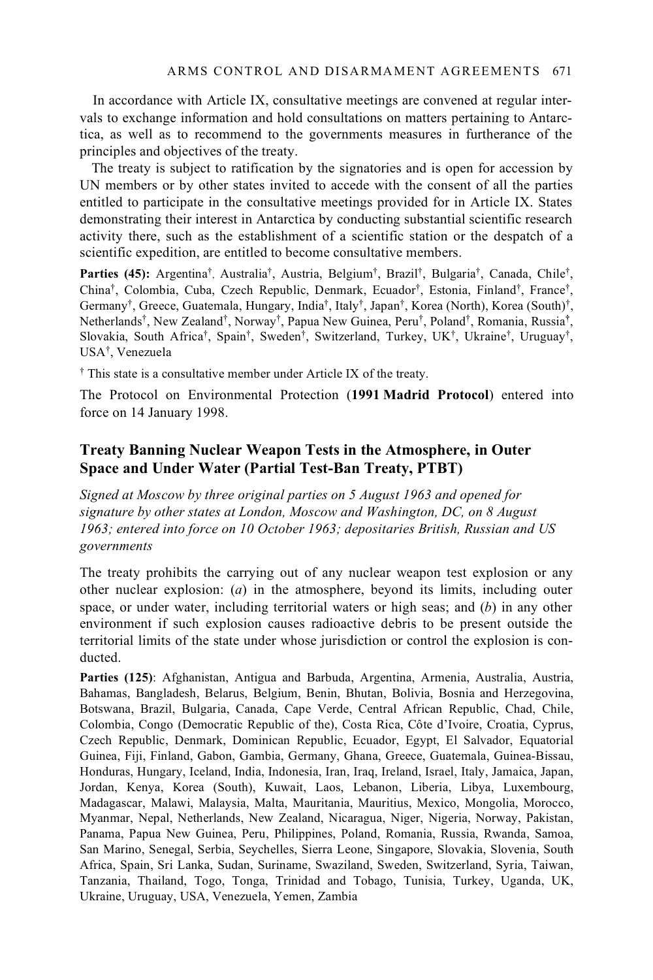In accordance with Article IX, consultative meetings are convened at regular intervals to exchange information and hold consultations on matters pertaining to Antarctica, as well as to recommend to the governments measures in furtherance of the principles and objectives of the treaty.

The treaty is subject to ratification by the signatories and is open for accession by UN members or by other states invited to accede with the consent of all the parties entitled to participate in the consultative meetings provided for in Article IX. States demonstrating their interest in Antarctica by conducting substantial scientific research activity there, such as the establishment of a scientific station or the despatch of a scientific expedition, are entitled to become consultative members.

**Parties (45):** Argentina†, Australia†, Austria, Belgium†, Brazil†, Bulgaria†, Canada, Chile†, China†, Colombia, Cuba, Czech Republic, Denmark, Ecuador†, Estonia, Finland†, France†, Germany†, Greece, Guatemala, Hungary, India†, Italy†, Japan†, Korea (North), Korea (South)†, Netherlands†, New Zealand†, Norway†, Papua New Guinea, Peru†, Poland†, Romania, Russia**†**, Slovakia, South Africa†, Spain†, Sweden†, Switzerland, Turkey, UK†, Ukraine†, Uruguay†, USA†, Venezuela

† This state is a consultative member under Article IX of the treaty.

The Protocol on Environmental Protection (**1991 Madrid Protocol**) entered into force on 14 January 1998.

# **Treaty Banning Nuclear Weapon Tests in the Atmosphere, in Outer Space and Under Water (Partial Test-Ban Treaty, PTBT)**

*Signed at Moscow by three original parties on 5 August 1963 and opened for signature by other states at London, Moscow and Washington, DC, on 8 August 1963; entered into force on 10 October 1963; depositaries British, Russian and US governments* 

The treaty prohibits the carrying out of any nuclear weapon test explosion or any other nuclear explosion: (*a*) in the atmosphere, beyond its limits, including outer space, or under water, including territorial waters or high seas; and (*b*) in any other environment if such explosion causes radioactive debris to be present outside the territorial limits of the state under whose jurisdiction or control the explosion is conducted.

**Parties (125)**: Afghanistan, Antigua and Barbuda, Argentina, Armenia, Australia, Austria, Bahamas, Bangladesh, Belarus, Belgium, Benin, Bhutan, Bolivia, Bosnia and Herzegovina, Botswana, Brazil, Bulgaria, Canada, Cape Verde, Central African Republic, Chad, Chile, Colombia, Congo (Democratic Republic of the), Costa Rica, Côte d'Ivoire, Croatia, Cyprus, Czech Republic, Denmark, Dominican Republic, Ecuador, Egypt, El Salvador, Equatorial Guinea, Fiji, Finland, Gabon, Gambia, Germany, Ghana, Greece, Guatemala, Guinea-Bissau, Honduras, Hungary, Iceland, India, Indonesia, Iran, Iraq, Ireland, Israel, Italy, Jamaica, Japan, Jordan, Kenya, Korea (South), Kuwait, Laos, Lebanon, Liberia, Libya, Luxembourg, Madagascar, Malawi, Malaysia, Malta, Mauritania, Mauritius, Mexico, Mongolia, Morocco, Myanmar, Nepal, Netherlands, New Zealand, Nicaragua, Niger, Nigeria, Norway, Pakistan, Panama, Papua New Guinea, Peru, Philippines, Poland, Romania, Russia, Rwanda, Samoa, San Marino, Senegal, Serbia, Seychelles, Sierra Leone, Singapore, Slovakia, Slovenia, South Africa, Spain, Sri Lanka, Sudan, Suriname, Swaziland, Sweden, Switzerland, Syria, Taiwan, Tanzania, Thailand, Togo, Tonga, Trinidad and Tobago, Tunisia, Turkey, Uganda, UK, Ukraine, Uruguay, USA, Venezuela, Yemen, Zambia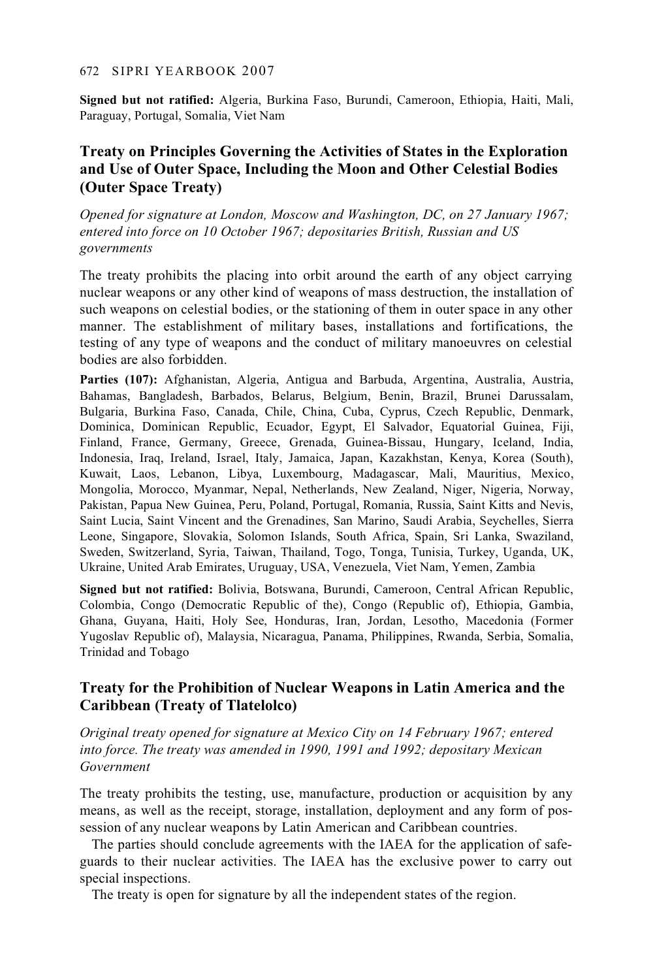**Signed but not ratified:** Algeria, Burkina Faso, Burundi, Cameroon, Ethiopia, Haiti, Mali, Paraguay, Portugal, Somalia, Viet Nam

# **Treaty on Principles Governing the Activities of States in the Exploration and Use of Outer Space, Including the Moon and Other Celestial Bodies (Outer Space Treaty)**

*Opened for signature at London, Moscow and Washington, DC, on 27 January 1967; entered into force on 10 October 1967; depositaries British, Russian and US governments* 

The treaty prohibits the placing into orbit around the earth of any object carrying nuclear weapons or any other kind of weapons of mass destruction, the installation of such weapons on celestial bodies, or the stationing of them in outer space in any other manner. The establishment of military bases, installations and fortifications, the testing of any type of weapons and the conduct of military manoeuvres on celestial bodies are also forbidden.

Parties (107): Afghanistan, Algeria, Antigua and Barbuda, Argentina, Australia, Austria, Bahamas, Bangladesh, Barbados, Belarus, Belgium, Benin, Brazil, Brunei Darussalam, Bulgaria, Burkina Faso, Canada, Chile, China, Cuba, Cyprus, Czech Republic, Denmark, Dominica, Dominican Republic, Ecuador, Egypt, El Salvador, Equatorial Guinea, Fiji, Finland, France, Germany, Greece, Grenada, Guinea-Bissau, Hungary, Iceland, India, Indonesia, Iraq, Ireland, Israel, Italy, Jamaica, Japan, Kazakhstan, Kenya, Korea (South), Kuwait, Laos, Lebanon, Libya, Luxembourg, Madagascar, Mali, Mauritius, Mexico, Mongolia, Morocco, Myanmar, Nepal, Netherlands, New Zealand, Niger, Nigeria, Norway, Pakistan, Papua New Guinea, Peru, Poland, Portugal, Romania, Russia, Saint Kitts and Nevis, Saint Lucia, Saint Vincent and the Grenadines, San Marino, Saudi Arabia, Seychelles, Sierra Leone, Singapore, Slovakia, Solomon Islands, South Africa, Spain, Sri Lanka, Swaziland, Sweden, Switzerland, Syria, Taiwan, Thailand, Togo, Tonga, Tunisia, Turkey, Uganda, UK, Ukraine, United Arab Emirates, Uruguay, USA, Venezuela, Viet Nam, Yemen, Zambia

**Signed but not ratified:** Bolivia, Botswana, Burundi, Cameroon, Central African Republic, Colombia, Congo (Democratic Republic of the), Congo (Republic of), Ethiopia, Gambia, Ghana, Guyana, Haiti, Holy See, Honduras, Iran, Jordan, Lesotho, Macedonia (Former Yugoslav Republic of), Malaysia, Nicaragua, Panama, Philippines, Rwanda, Serbia, Somalia, Trinidad and Tobago

# **Treaty for the Prohibition of Nuclear Weapons in Latin America and the Caribbean (Treaty of Tlatelolco)**

*Original treaty opened for signature at Mexico City on 14 February 1967; entered into force. The treaty was amended in 1990, 1991 and 1992; depositary Mexican Government* 

The treaty prohibits the testing, use, manufacture, production or acquisition by any means, as well as the receipt, storage, installation, deployment and any form of possession of any nuclear weapons by Latin American and Caribbean countries.

The parties should conclude agreements with the IAEA for the application of safeguards to their nuclear activities. The IAEA has the exclusive power to carry out special inspections.

The treaty is open for signature by all the independent states of the region.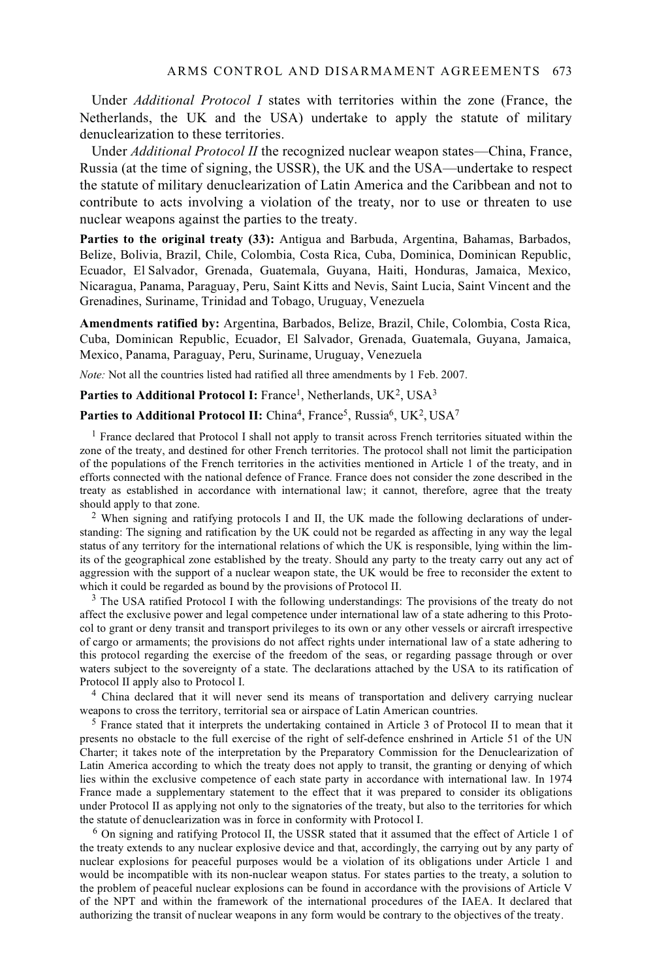Under *Additional Protocol I* states with territories within the zone (France, the Netherlands, the UK and the USA) undertake to apply the statute of military denuclearization to these territories.

Under *Additional Protocol II* the recognized nuclear weapon states—China, France, Russia (at the time of signing, the USSR), the UK and the USA—undertake to respect the statute of military denuclearization of Latin America and the Caribbean and not to contribute to acts involving a violation of the treaty, nor to use or threaten to use nuclear weapons against the parties to the treaty.

**Parties to the original treaty (33):** Antigua and Barbuda, Argentina, Bahamas, Barbados, Belize, Bolivia, Brazil, Chile, Colombia, Costa Rica, Cuba, Dominica, Dominican Republic, Ecuador, El Salvador, Grenada, Guatemala, Guyana, Haiti, Honduras, Jamaica, Mexico, Nicaragua, Panama, Paraguay, Peru, Saint Kitts and Nevis, Saint Lucia, Saint Vincent and the Grenadines, Suriname, Trinidad and Tobago, Uruguay, Venezuela

**Amendments ratified by:** Argentina, Barbados, Belize, Brazil, Chile, Colombia, Costa Rica, Cuba, Dominican Republic, Ecuador, El Salvador, Grenada, Guatemala, Guyana, Jamaica, Mexico, Panama, Paraguay, Peru, Suriname, Uruguay, Venezuela

*Note:* Not all the countries listed had ratified all three amendments by 1 Feb. 2007.

Parties to Additional Protocol I: France<sup>1</sup>, Netherlands, UK<sup>2</sup>, USA<sup>3</sup>

#### Parties to Additional Protocol II: China<sup>4</sup>, France<sup>5</sup>, Russia<sup>6</sup>, UK<sup>2</sup>, USA<sup>7</sup>

<sup>1</sup> France declared that Protocol I shall not apply to transit across French territories situated within the zone of the treaty, and destined for other French territories. The protocol shall not limit the participation of the populations of the French territories in the activities mentioned in Article 1 of the treaty, and in efforts connected with the national defence of France. France does not consider the zone described in the treaty as established in accordance with international law; it cannot, therefore, agree that the treaty should apply to that zone.<br><sup>2</sup> When signing and ratifying protocols I and II, the UK made the following declarations of under-

standing: The signing and ratification by the UK could not be regarded as affecting in any way the legal status of any territory for the international relations of which the UK is responsible, lying within the limits of the geographical zone established by the treaty. Should any party to the treaty carry out any act of aggression with the support of a nuclear weapon state, the UK would be free to reconsider the extent to which it could be regarded as bound by the provisions of Protocol II.<br><sup>3</sup> The USA ratified Protocol I with the following understandings: The provisions of the treaty do not

affect the exclusive power and legal competence under international law of a state adhering to this Protocol to grant or deny transit and transport privileges to its own or any other vessels or aircraft irrespective of cargo or armaments; the provisions do not affect rights under international law of a state adhering to this protocol regarding the exercise of the freedom of the seas, or regarding passage through or over waters subject to the sovereignty of a state. The declarations attached by the USA to its ratification of Protocol II apply also to Protocol I.<br><sup>4</sup> China declared that it will never send its means of transportation and delivery carrying nuclear

weapons to cross the territory, territorial sea or airspace of Latin American countries.<br><sup>5</sup> France stated that it interprets the undertaking contained in Article 3 of Protocol II to mean that it

presents no obstacle to the full exercise of the right of self-defence enshrined in Article 51 of the UN Charter; it takes note of the interpretation by the Preparatory Commission for the Denuclearization of Latin America according to which the treaty does not apply to transit, the granting or denying of which lies within the exclusive competence of each state party in accordance with international law. In 1974 France made a supplementary statement to the effect that it was prepared to consider its obligations under Protocol II as applying not only to the signatories of the treaty, but also to the territories for which the statute of denuclearization was in force in conformity with Protocol I.<br><sup>6</sup> On signing and ratifying Protocol II, the USSR stated that it assumed that the effect of Article 1 of

the treaty extends to any nuclear explosive device and that, accordingly, the carrying out by any party of nuclear explosions for peaceful purposes would be a violation of its obligations under Article 1 and would be incompatible with its non-nuclear weapon status. For states parties to the treaty, a solution to the problem of peaceful nuclear explosions can be found in accordance with the provisions of Article V of the NPT and within the framework of the international procedures of the IAEA. It declared that authorizing the transit of nuclear weapons in any form would be contrary to the objectives of the treaty.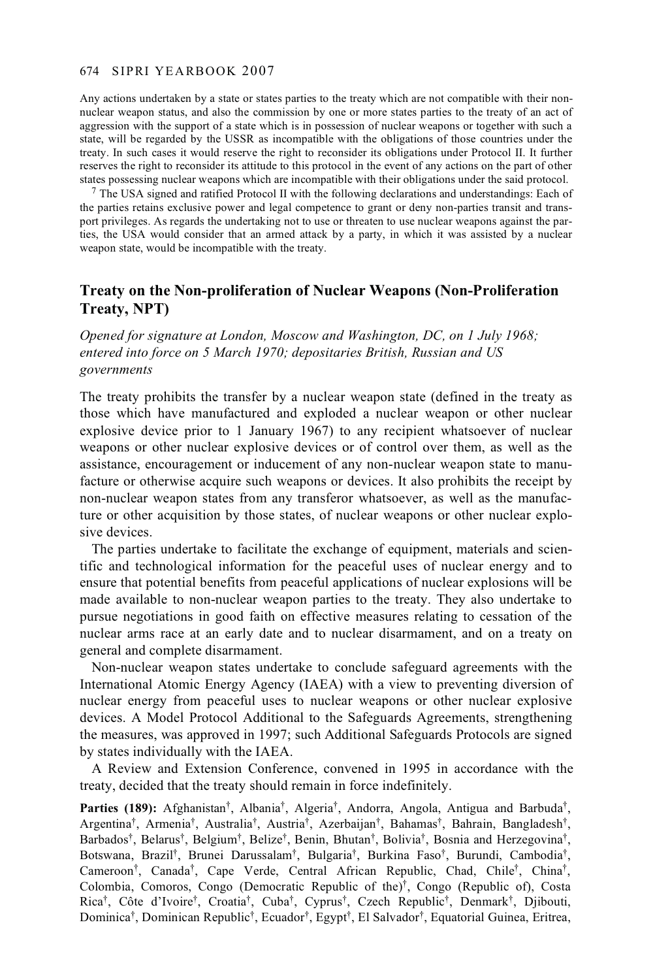Any actions undertaken by a state or states parties to the treaty which are not compatible with their nonnuclear weapon status, and also the commission by one or more states parties to the treaty of an act of aggression with the support of a state which is in possession of nuclear weapons or together with such a state, will be regarded by the USSR as incompatible with the obligations of those countries under the treaty. In such cases it would reserve the right to reconsider its obligations under Protocol II. It further reserves the right to reconsider its attitude to this protocol in the event of any actions on the part of other states possessing nuclear weapons which are incompatible with their obligations under the said protocol.

<sup>7</sup> The USA signed and ratified Protocol II with the following declarations and understandings: Each of the parties retains exclusive power and legal competence to grant or deny non-parties transit and transport privileges. As regards the undertaking not to use or threaten to use nuclear weapons against the parties, the USA would consider that an armed attack by a party, in which it was assisted by a nuclear weapon state, would be incompatible with the treaty.

### **Treaty on the Non-proliferation of Nuclear Weapons (Non-Proliferation Treaty, NPT)**

*Opened for signature at London, Moscow and Washington, DC, on 1 July 1968; entered into force on 5 March 1970; depositaries British, Russian and US governments* 

The treaty prohibits the transfer by a nuclear weapon state (defined in the treaty as those which have manufactured and exploded a nuclear weapon or other nuclear explosive device prior to 1 January 1967) to any recipient whatsoever of nuclear weapons or other nuclear explosive devices or of control over them, as well as the assistance, encouragement or inducement of any non-nuclear weapon state to manufacture or otherwise acquire such weapons or devices. It also prohibits the receipt by non-nuclear weapon states from any transferor whatsoever, as well as the manufacture or other acquisition by those states, of nuclear weapons or other nuclear explosive devices.

The parties undertake to facilitate the exchange of equipment, materials and scientific and technological information for the peaceful uses of nuclear energy and to ensure that potential benefits from peaceful applications of nuclear explosions will be made available to non-nuclear weapon parties to the treaty. They also undertake to pursue negotiations in good faith on effective measures relating to cessation of the nuclear arms race at an early date and to nuclear disarmament, and on a treaty on general and complete disarmament.

Non-nuclear weapon states undertake to conclude safeguard agreements with the International Atomic Energy Agency (IAEA) with a view to preventing diversion of nuclear energy from peaceful uses to nuclear weapons or other nuclear explosive devices. A Model Protocol Additional to the Safeguards Agreements, strengthening the measures, was approved in 1997; such Additional Safeguards Protocols are signed by states individually with the IAEA.

A Review and Extension Conference, convened in 1995 in accordance with the treaty, decided that the treaty should remain in force indefinitely.

**Parties (189):** Afghanistan†, Albania†, Algeria†, Andorra, Angola, Antigua and Barbuda†, Argentina†, Armenia†, Australia†, Austria†, Azerbaijan†, Bahamas†, Bahrain, Bangladesh†, Barbados†, Belarus†, Belgium†, Belize†, Benin, Bhutan†, Bolivia†, Bosnia and Herzegovina†, Botswana, Brazil†, Brunei Darussalam†, Bulgaria†, Burkina Faso†, Burundi, Cambodia†, Cameroon†, Canada†, Cape Verde, Central African Republic, Chad, Chile†, China†, Colombia, Comoros, Congo (Democratic Republic of the)†, Congo (Republic of), Costa Rica†, Côte d'Ivoire†, Croatia†, Cuba†, Cyprus†, Czech Republic†, Denmark†, Djibouti, Dominica†, Dominican Republic†, Ecuador†, Egypt†, El Salvador†, Equatorial Guinea, Eritrea,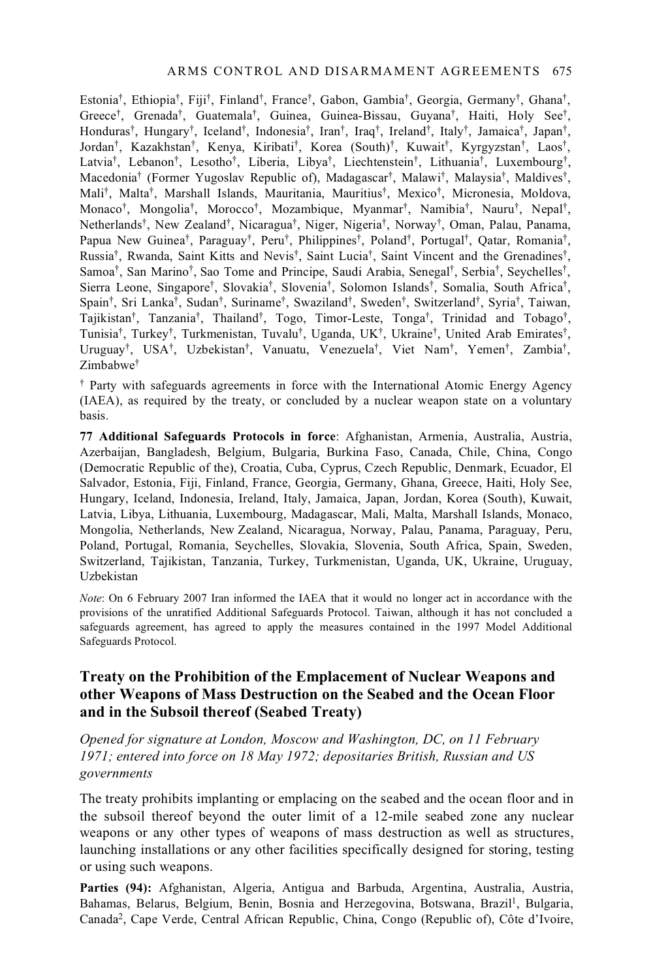Estonia†, Ethiopia†, Fiji†, Finland†, France†, Gabon, Gambia†, Georgia, Germany†, Ghana†, Greece†, Grenada†, Guatemala†, Guinea, Guinea-Bissau, Guyana†, Haiti, Holy See†, Honduras†, Hungary†, Iceland†, Indonesia†, Iran†, Iraq†, Ireland†, Italy†, Jamaica†, Japan†, Jordan†, Kazakhstan†, Kenya, Kiribati†, Korea (South)†, Kuwait†, Kyrgyzstan†, Laos†, Latvia†, Lebanon†, Lesotho†, Liberia, Libya†, Liechtenstein†, Lithuania†, Luxembourg†, Macedonia† (Former Yugoslav Republic of), Madagascar†, Malawi†, Malaysia†, Maldives†, Mali†, Malta†, Marshall Islands, Mauritania, Mauritius†, Mexico†, Micronesia, Moldova, Monaco†, Mongolia†, Morocco†, Mozambique, Myanmar†, Namibia†, Nauru†, Nepal†, Netherlands†, New Zealand†, Nicaragua†, Niger, Nigeria†, Norway†, Oman, Palau, Panama, Papua New Guinea†, Paraguay†, Peru†, Philippines†, Poland†, Portugal†, Qatar, Romania†, Russia†, Rwanda, Saint Kitts and Nevis†, Saint Lucia†, Saint Vincent and the Grenadines†, Samoa†, San Marino†, Sao Tome and Principe, Saudi Arabia, Senegal†, Serbia†, Seychelles†, Sierra Leone, Singapore†, Slovakia†, Slovenia†, Solomon Islands†, Somalia, South Africa†, Spain†, Sri Lanka†, Sudan†, Suriname†, Swaziland†, Sweden†, Switzerland†, Syria†, Taiwan, Tajikistan†, Tanzania†, Thailand†, Togo, Timor-Leste, Tonga†, Trinidad and Tobago†, Tunisia†, Turkey†, Turkmenistan, Tuvalu†, Uganda, UK†, Ukraine†, United Arab Emirates†, Uruguay†, USA†, Uzbekistan†, Vanuatu, Venezuela†, Viet Nam†, Yemen†, Zambia†, Zimbabwe†

† Party with safeguards agreements in force with the International Atomic Energy Agency (IAEA), as required by the treaty, or concluded by a nuclear weapon state on a voluntary basis.

**77 Additional Safeguards Protocols in force**: Afghanistan, Armenia, Australia, Austria, Azerbaijan, Bangladesh, Belgium, Bulgaria, Burkina Faso, Canada, Chile, China, Congo (Democratic Republic of the), Croatia, Cuba, Cyprus, Czech Republic, Denmark, Ecuador, El Salvador, Estonia, Fiji, Finland, France, Georgia, Germany, Ghana, Greece, Haiti, Holy See, Hungary, Iceland, Indonesia, Ireland, Italy, Jamaica, Japan, Jordan, Korea (South), Kuwait, Latvia, Libya, Lithuania, Luxembourg, Madagascar, Mali, Malta, Marshall Islands, Monaco, Mongolia, Netherlands, New Zealand, Nicaragua, Norway, Palau, Panama, Paraguay, Peru, Poland, Portugal, Romania, Seychelles, Slovakia, Slovenia, South Africa, Spain, Sweden, Switzerland, Tajikistan, Tanzania, Turkey, Turkmenistan, Uganda, UK, Ukraine, Uruguay, Uzbekistan

*Note*: On 6 February 2007 Iran informed the IAEA that it would no longer act in accordance with the provisions of the unratified Additional Safeguards Protocol. Taiwan, although it has not concluded a safeguards agreement, has agreed to apply the measures contained in the 1997 Model Additional Safeguards Protocol.

# **Treaty on the Prohibition of the Emplacement of Nuclear Weapons and other Weapons of Mass Destruction on the Seabed and the Ocean Floor and in the Subsoil thereof (Seabed Treaty)**

*Opened for signature at London, Moscow and Washington, DC, on 11 February 1971; entered into force on 18 May 1972; depositaries British, Russian and US governments* 

The treaty prohibits implanting or emplacing on the seabed and the ocean floor and in the subsoil thereof beyond the outer limit of a 12-mile seabed zone any nuclear weapons or any other types of weapons of mass destruction as well as structures, launching installations or any other facilities specifically designed for storing, testing or using such weapons.

Parties (94): Afghanistan, Algeria, Antigua and Barbuda, Argentina, Australia, Austria, Bahamas, Belarus, Belgium, Benin, Bosnia and Herzegovina, Botswana, Brazil<sup>1</sup>, Bulgaria, Canada2, Cape Verde, Central African Republic, China, Congo (Republic of), Côte d'Ivoire,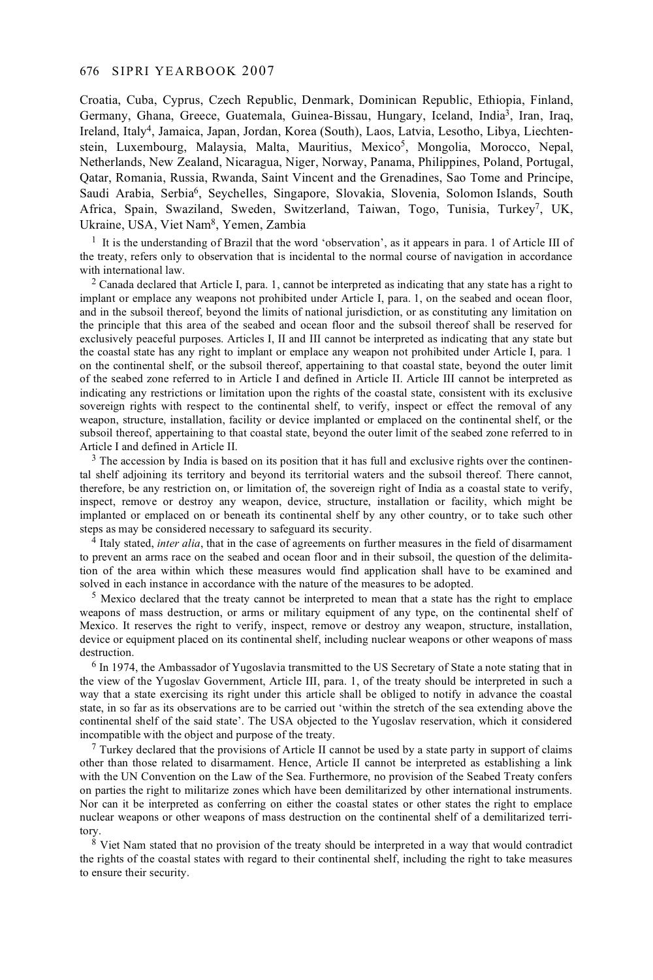Croatia, Cuba, Cyprus, Czech Republic, Denmark, Dominican Republic, Ethiopia, Finland, Germany, Ghana, Greece, Guatemala, Guinea-Bissau, Hungary, Iceland, India3, Iran, Iraq, Ireland, Italy4, Jamaica, Japan, Jordan, Korea (South), Laos, Latvia, Lesotho, Libya, Liechtenstein, Luxembourg, Malaysia, Malta, Mauritius, Mexico<sup>5</sup>, Mongolia, Morocco, Nepal, Netherlands, New Zealand, Nicaragua, Niger, Norway, Panama, Philippines, Poland, Portugal, Qatar, Romania, Russia, Rwanda, Saint Vincent and the Grenadines, Sao Tome and Principe, Saudi Arabia, Serbia6, Seychelles, Singapore, Slovakia, Slovenia, Solomon Islands, South Africa, Spain, Swaziland, Sweden, Switzerland, Taiwan, Togo, Tunisia, Turkey7, UK, Ukraine, USA, Viet Nam8, Yemen, Zambia

<sup>1</sup> It is the understanding of Brazil that the word 'observation', as it appears in para. 1 of Article III of the treaty, refers only to observation that is incidental to the normal course of navigation in accordance with international law.

<sup>2</sup> Canada declared that Article I, para. 1, cannot be interpreted as indicating that any state has a right to implant or emplace any weapons not prohibited under Article I, para. 1, on the seabed and ocean floor, and in the subsoil thereof, beyond the limits of national jurisdiction, or as constituting any limitation on the principle that this area of the seabed and ocean floor and the subsoil thereof shall be reserved for exclusively peaceful purposes. Articles I, II and III cannot be interpreted as indicating that any state but the coastal state has any right to implant or emplace any weapon not prohibited under Article I, para. 1 on the continental shelf, or the subsoil thereof, appertaining to that coastal state, beyond the outer limit of the seabed zone referred to in Article I and defined in Article II. Article III cannot be interpreted as indicating any restrictions or limitation upon the rights of the coastal state, consistent with its exclusive sovereign rights with respect to the continental shelf, to verify, inspect or effect the removal of any weapon, structure, installation, facility or device implanted or emplaced on the continental shelf, or the subsoil thereof, appertaining to that coastal state, beyond the outer limit of the seabed zone referred to in Article I and defined in Article II.<br> $3$  The accession by India is based on its position that it has full and exclusive rights over the continen-

tal shelf adjoining its territory and beyond its territorial waters and the subsoil thereof. There cannot, therefore, be any restriction on, or limitation of, the sovereign right of India as a coastal state to verify, inspect, remove or destroy any weapon, device, structure, installation or facility, which might be implanted or emplaced on or beneath its continental shelf by any other country, or to take such other steps as may be considered necessary to safeguard its security.<br><sup>4</sup> Italy stated, *inter alia*, that in the case of agreements on further measures in the field of disarmament

to prevent an arms race on the seabed and ocean floor and in their subsoil, the question of the delimitation of the area within which these measures would find application shall have to be examined and solved in each instance in accordance with the nature of the measures to be adopted.<br><sup>5</sup> Mexico declared that the treaty cannot be interpreted to mean that a state has the right to emplace

weapons of mass destruction, or arms or military equipment of any type, on the continental shelf of Mexico. It reserves the right to verify, inspect, remove or destroy any weapon, structure, installation, device or equipment placed on its continental shelf, including nuclear weapons or other weapons of mass destruction.<br><sup>6</sup> In 1974, the Ambassador of Yugoslavia transmitted to the US Secretary of State a note stating that in

the view of the Yugoslav Government, Article III, para. 1, of the treaty should be interpreted in such a way that a state exercising its right under this article shall be obliged to notify in advance the coastal state, in so far as its observations are to be carried out 'within the stretch of the sea extending above the continental shelf of the said state'. The USA objected to the Yugoslav reservation, which it considered incompatible with the object and purpose of the treaty.<br><sup>7</sup> Turkey declared that the provisions of Article II cannot be used by a state party in support of claims

other than those related to disarmament. Hence, Article II cannot be interpreted as establishing a link with the UN Convention on the Law of the Sea. Furthermore, no provision of the Seabed Treaty confers on parties the right to militarize zones which have been demilitarized by other international instruments. Nor can it be interpreted as conferring on either the coastal states or other states the right to emplace nuclear weapons or other weapons of mass destruction on the continental shelf of a demilitarized terri-

tory.<br><sup>8</sup> Viet Nam stated that no provision of the treaty should be interpreted in a way that would contradict the rights of the coastal states with regard to their continental shelf, including the right to take measures to ensure their security.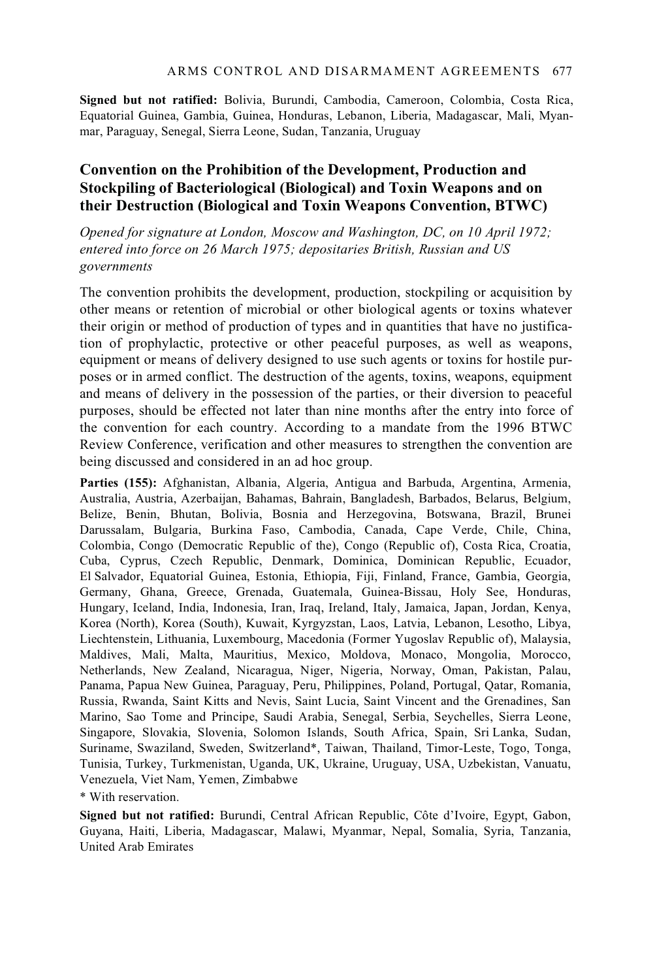**Signed but not ratified:** Bolivia, Burundi, Cambodia, Cameroon, Colombia, Costa Rica, Equatorial Guinea, Gambia, Guinea, Honduras, Lebanon, Liberia, Madagascar, Mali, Myanmar, Paraguay, Senegal, Sierra Leone, Sudan, Tanzania, Uruguay

# **Convention on the Prohibition of the Development, Production and Stockpiling of Bacteriological (Biological) and Toxin Weapons and on their Destruction (Biological and Toxin Weapons Convention, BTWC)**

*Opened for signature at London, Moscow and Washington, DC, on 10 April 1972; entered into force on 26 March 1975; depositaries British, Russian and US governments* 

The convention prohibits the development, production, stockpiling or acquisition by other means or retention of microbial or other biological agents or toxins whatever their origin or method of production of types and in quantities that have no justification of prophylactic, protective or other peaceful purposes, as well as weapons, equipment or means of delivery designed to use such agents or toxins for hostile purposes or in armed conflict. The destruction of the agents, toxins, weapons, equipment and means of delivery in the possession of the parties, or their diversion to peaceful purposes, should be effected not later than nine months after the entry into force of the convention for each country. According to a mandate from the 1996 BTWC Review Conference, verification and other measures to strengthen the convention are being discussed and considered in an ad hoc group.

**Parties (155):** Afghanistan, Albania, Algeria, Antigua and Barbuda, Argentina, Armenia, Australia, Austria, Azerbaijan, Bahamas, Bahrain, Bangladesh, Barbados, Belarus, Belgium, Belize, Benin, Bhutan, Bolivia, Bosnia and Herzegovina, Botswana, Brazil, Brunei Darussalam, Bulgaria, Burkina Faso, Cambodia, Canada, Cape Verde, Chile, China, Colombia, Congo (Democratic Republic of the), Congo (Republic of), Costa Rica, Croatia, Cuba, Cyprus, Czech Republic, Denmark, Dominica, Dominican Republic, Ecuador, El Salvador, Equatorial Guinea, Estonia, Ethiopia, Fiji, Finland, France, Gambia, Georgia, Germany, Ghana, Greece, Grenada, Guatemala, Guinea-Bissau, Holy See, Honduras, Hungary, Iceland, India, Indonesia, Iran, Iraq, Ireland, Italy, Jamaica, Japan, Jordan, Kenya, Korea (North), Korea (South), Kuwait, Kyrgyzstan, Laos, Latvia, Lebanon, Lesotho, Libya, Liechtenstein, Lithuania, Luxembourg, Macedonia (Former Yugoslav Republic of), Malaysia, Maldives, Mali, Malta, Mauritius, Mexico, Moldova, Monaco, Mongolia, Morocco, Netherlands, New Zealand, Nicaragua, Niger, Nigeria, Norway, Oman, Pakistan, Palau, Panama, Papua New Guinea, Paraguay, Peru, Philippines, Poland, Portugal, Qatar, Romania, Russia, Rwanda, Saint Kitts and Nevis, Saint Lucia, Saint Vincent and the Grenadines, San Marino, Sao Tome and Principe, Saudi Arabia, Senegal, Serbia, Seychelles, Sierra Leone, Singapore, Slovakia, Slovenia, Solomon Islands, South Africa, Spain, Sri Lanka, Sudan, Suriname, Swaziland, Sweden, Switzerland\*, Taiwan, Thailand, Timor-Leste, Togo, Tonga, Tunisia, Turkey, Turkmenistan, Uganda, UK, Ukraine, Uruguay, USA, Uzbekistan, Vanuatu, Venezuela, Viet Nam, Yemen, Zimbabwe

\* With reservation.

**Signed but not ratified:** Burundi, Central African Republic, Côte d'Ivoire, Egypt, Gabon, Guyana, Haiti, Liberia, Madagascar, Malawi, Myanmar, Nepal, Somalia, Syria, Tanzania, United Arab Emirates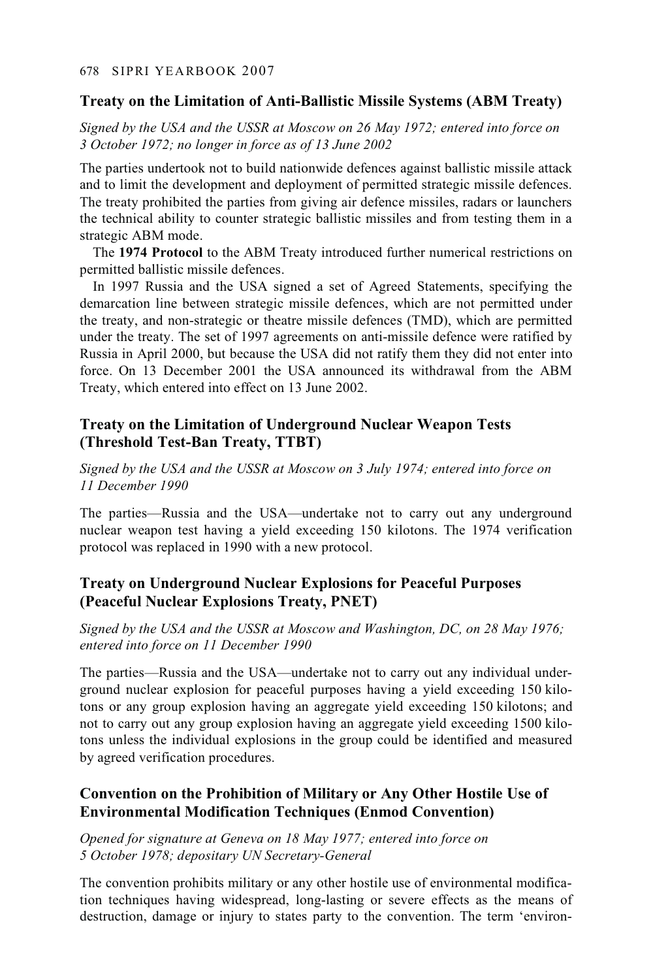### **Treaty on the Limitation of Anti-Ballistic Missile Systems (ABM Treaty)**

*Signed by the USA and the USSR at Moscow on 26 May 1972; entered into force on 3 October 1972; no longer in force as of 13 June 2002* 

The parties undertook not to build nationwide defences against ballistic missile attack and to limit the development and deployment of permitted strategic missile defences. The treaty prohibited the parties from giving air defence missiles, radars or launchers the technical ability to counter strategic ballistic missiles and from testing them in a strategic ABM mode.

The **1974 Protocol** to the ABM Treaty introduced further numerical restrictions on permitted ballistic missile defences.

In 1997 Russia and the USA signed a set of Agreed Statements, specifying the demarcation line between strategic missile defences, which are not permitted under the treaty, and non-strategic or theatre missile defences (TMD), which are permitted under the treaty. The set of 1997 agreements on anti-missile defence were ratified by Russia in April 2000, but because the USA did not ratify them they did not enter into force. On 13 December 2001 the USA announced its withdrawal from the ABM Treaty, which entered into effect on 13 June 2002.

# **Treaty on the Limitation of Underground Nuclear Weapon Tests (Threshold Test-Ban Treaty, TTBT)**

*Signed by the USA and the USSR at Moscow on 3 July 1974; entered into force on 11 December 1990* 

The parties—Russia and the USA—undertake not to carry out any underground nuclear weapon test having a yield exceeding 150 kilotons. The 1974 verification protocol was replaced in 1990 with a new protocol.

# **Treaty on Underground Nuclear Explosions for Peaceful Purposes (Peaceful Nuclear Explosions Treaty, PNET)**

*Signed by the USA and the USSR at Moscow and Washington, DC, on 28 May 1976; entered into force on 11 December 1990* 

The parties—Russia and the USA—undertake not to carry out any individual underground nuclear explosion for peaceful purposes having a yield exceeding 150 kilotons or any group explosion having an aggregate yield exceeding 150 kilotons; and not to carry out any group explosion having an aggregate yield exceeding 1500 kilotons unless the individual explosions in the group could be identified and measured by agreed verification procedures.

# **Convention on the Prohibition of Military or Any Other Hostile Use of Environmental Modification Techniques (Enmod Convention)**

*Opened for signature at Geneva on 18 May 1977; entered into force on 5 October 1978; depositary UN Secretary-General* 

The convention prohibits military or any other hostile use of environmental modification techniques having widespread, long-lasting or severe effects as the means of destruction, damage or injury to states party to the convention. The term 'environ-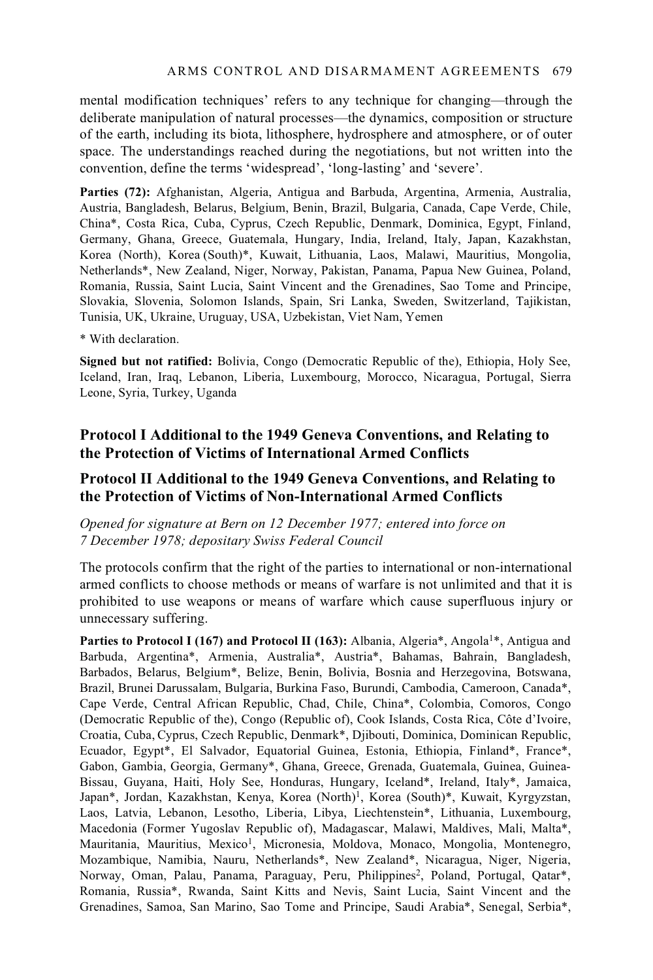mental modification techniques' refers to any technique for changing—through the deliberate manipulation of natural processes—the dynamics, composition or structure of the earth, including its biota, lithosphere, hydrosphere and atmosphere, or of outer space. The understandings reached during the negotiations, but not written into the convention, define the terms 'widespread', 'long-lasting' and 'severe'.

Parties (72): Afghanistan, Algeria, Antigua and Barbuda, Argentina, Armenia, Australia, Austria, Bangladesh, Belarus, Belgium, Benin, Brazil, Bulgaria, Canada, Cape Verde, Chile, China\*, Costa Rica, Cuba, Cyprus, Czech Republic, Denmark, Dominica, Egypt, Finland, Germany, Ghana, Greece, Guatemala, Hungary, India, Ireland, Italy, Japan, Kazakhstan, Korea (North), Korea (South)\*, Kuwait, Lithuania, Laos, Malawi, Mauritius, Mongolia, Netherlands\*, New Zealand, Niger, Norway, Pakistan, Panama, Papua New Guinea, Poland, Romania, Russia, Saint Lucia, Saint Vincent and the Grenadines, Sao Tome and Principe, Slovakia, Slovenia, Solomon Islands, Spain, Sri Lanka, Sweden, Switzerland, Tajikistan, Tunisia, UK, Ukraine, Uruguay, USA, Uzbekistan, Viet Nam, Yemen

\* With declaration.

**Signed but not ratified:** Bolivia, Congo (Democratic Republic of the), Ethiopia, Holy See, Iceland, Iran, Iraq, Lebanon, Liberia, Luxembourg, Morocco, Nicaragua, Portugal, Sierra Leone, Syria, Turkey, Uganda

# **Protocol I Additional to the 1949 Geneva Conventions, and Relating to the Protection of Victims of International Armed Conflicts**

#### **Protocol II Additional to the 1949 Geneva Conventions, and Relating to the Protection of Victims of Non-International Armed Conflicts**

#### *Opened for signature at Bern on 12 December 1977; entered into force on 7 December 1978; depositary Swiss Federal Council*

The protocols confirm that the right of the parties to international or non-international armed conflicts to choose methods or means of warfare is not unlimited and that it is prohibited to use weapons or means of warfare which cause superfluous injury or unnecessary suffering.

**Parties to Protocol I (167) and Protocol II (163):** Albania, Algeria<sup>\*</sup>, Angola<sup>1\*</sup>, Antigua and Barbuda, Argentina\*, Armenia, Australia\*, Austria\*, Bahamas, Bahrain, Bangladesh, Barbados, Belarus, Belgium\*, Belize, Benin, Bolivia, Bosnia and Herzegovina, Botswana, Brazil, Brunei Darussalam, Bulgaria, Burkina Faso, Burundi, Cambodia, Cameroon, Canada\*, Cape Verde, Central African Republic, Chad, Chile, China\*, Colombia, Comoros, Congo (Democratic Republic of the), Congo (Republic of), Cook Islands, Costa Rica, Côte d'Ivoire, Croatia, Cuba, Cyprus, Czech Republic, Denmark\*, Djibouti, Dominica, Dominican Republic, Ecuador, Egypt\*, El Salvador, Equatorial Guinea, Estonia, Ethiopia, Finland\*, France\*, Gabon, Gambia, Georgia, Germany\*, Ghana, Greece, Grenada, Guatemala, Guinea, Guinea-Bissau, Guyana, Haiti, Holy See, Honduras, Hungary, Iceland\*, Ireland, Italy\*, Jamaica, Japan\*, Jordan, Kazakhstan, Kenya, Korea (North)<sup>1</sup>, Korea (South)\*, Kuwait, Kyrgyzstan, Laos, Latvia, Lebanon, Lesotho, Liberia, Libya, Liechtenstein\*, Lithuania, Luxembourg, Macedonia (Former Yugoslav Republic of), Madagascar, Malawi, Maldives, Mali, Malta\*, Mauritania, Mauritius, Mexico<sup>1</sup>, Micronesia, Moldova, Monaco, Mongolia, Montenegro, Mozambique, Namibia, Nauru, Netherlands\*, New Zealand\*, Nicaragua, Niger, Nigeria, Norway, Oman, Palau, Panama, Paraguay, Peru, Philippines<sup>2</sup>, Poland, Portugal, Oatar\*, Romania, Russia\*, Rwanda, Saint Kitts and Nevis, Saint Lucia, Saint Vincent and the Grenadines, Samoa, San Marino, Sao Tome and Principe, Saudi Arabia\*, Senegal, Serbia\*,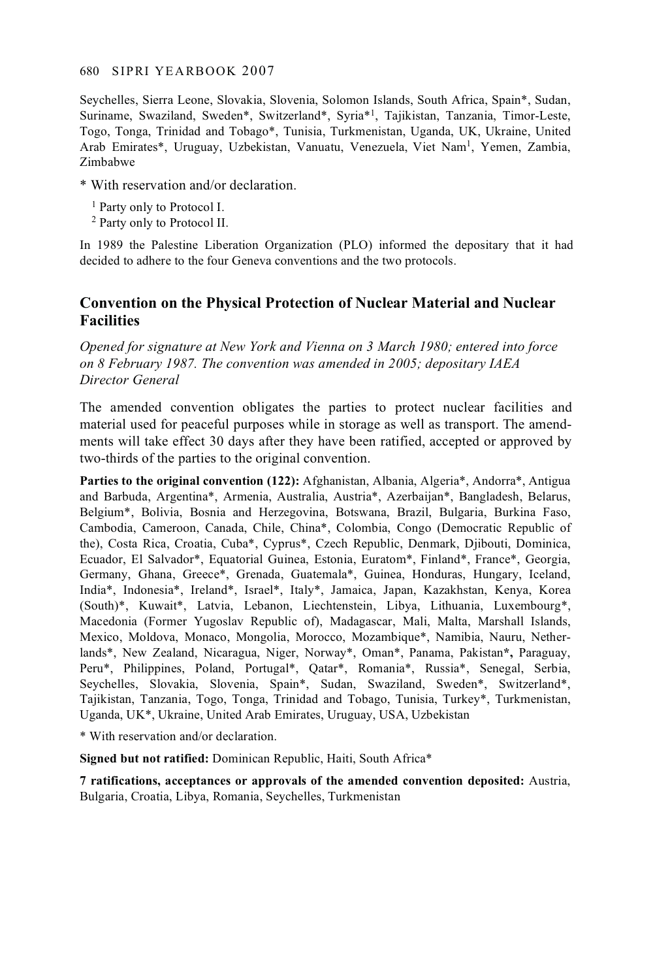Seychelles, Sierra Leone, Slovakia, Slovenia, Solomon Islands, South Africa, Spain\*, Sudan, Suriname, Swaziland, Sweden\*, Switzerland\*, Syria\*1, Tajikistan, Tanzania, Timor-Leste, Togo, Tonga, Trinidad and Tobago\*, Tunisia, Turkmenistan, Uganda, UK, Ukraine, United Arab Emirates\*, Uruguay, Uzbekistan, Vanuatu, Venezuela, Viet Nam1, Yemen, Zambia, Zimbabwe

- \* With reservation and/or declaration.
	- 1 Party only to Protocol I.
	- 2 Party only to Protocol II.

In 1989 the Palestine Liberation Organization (PLO) informed the depositary that it had decided to adhere to the four Geneva conventions and the two protocols.

# **Convention on the Physical Protection of Nuclear Material and Nuclear Facilities**

*Opened for signature at New York and Vienna on 3 March 1980; entered into force on 8 February 1987. The convention was amended in 2005; depositary IAEA Director General* 

The amended convention obligates the parties to protect nuclear facilities and material used for peaceful purposes while in storage as well as transport. The amendments will take effect 30 days after they have been ratified, accepted or approved by two-thirds of the parties to the original convention.

Parties to the original convention (122): Afghanistan, Albania, Algeria\*, Andorra\*, Antigua and Barbuda, Argentina\*, Armenia, Australia, Austria\*, Azerbaijan\*, Bangladesh, Belarus, Belgium\*, Bolivia, Bosnia and Herzegovina, Botswana, Brazil, Bulgaria, Burkina Faso, Cambodia, Cameroon, Canada, Chile, China\*, Colombia, Congo (Democratic Republic of the), Costa Rica, Croatia, Cuba\*, Cyprus\*, Czech Republic, Denmark, Djibouti, Dominica, Ecuador, El Salvador\*, Equatorial Guinea, Estonia, Euratom\*, Finland\*, France\*, Georgia, Germany, Ghana, Greece\*, Grenada, Guatemala\*, Guinea, Honduras, Hungary, Iceland, India\*, Indonesia\*, Ireland\*, Israel\*, Italy\*, Jamaica, Japan, Kazakhstan, Kenya, Korea (South)\*, Kuwait\*, Latvia, Lebanon, Liechtenstein, Libya, Lithuania, Luxembourg\*, Macedonia (Former Yugoslav Republic of), Madagascar, Mali, Malta, Marshall Islands, Mexico, Moldova, Monaco, Mongolia, Morocco, Mozambique\*, Namibia, Nauru, Netherlands\*, New Zealand, Nicaragua, Niger, Norway\*, Oman\*, Panama, Pakistan**\*,** Paraguay, Peru\*, Philippines, Poland, Portugal\*, Qatar\*, Romania\*, Russia\*, Senegal, Serbia, Seychelles, Slovakia, Slovenia, Spain\*, Sudan, Swaziland, Sweden\*, Switzerland\*, Tajikistan, Tanzania, Togo, Tonga, Trinidad and Tobago, Tunisia, Turkey\*, Turkmenistan, Uganda, UK\*, Ukraine, United Arab Emirates, Uruguay, USA, Uzbekistan

\* With reservation and/or declaration.

**Signed but not ratified:** Dominican Republic, Haiti, South Africa\*

**7 ratifications, acceptances or approvals of the amended convention deposited:** Austria, Bulgaria, Croatia, Libya, Romania, Seychelles, Turkmenistan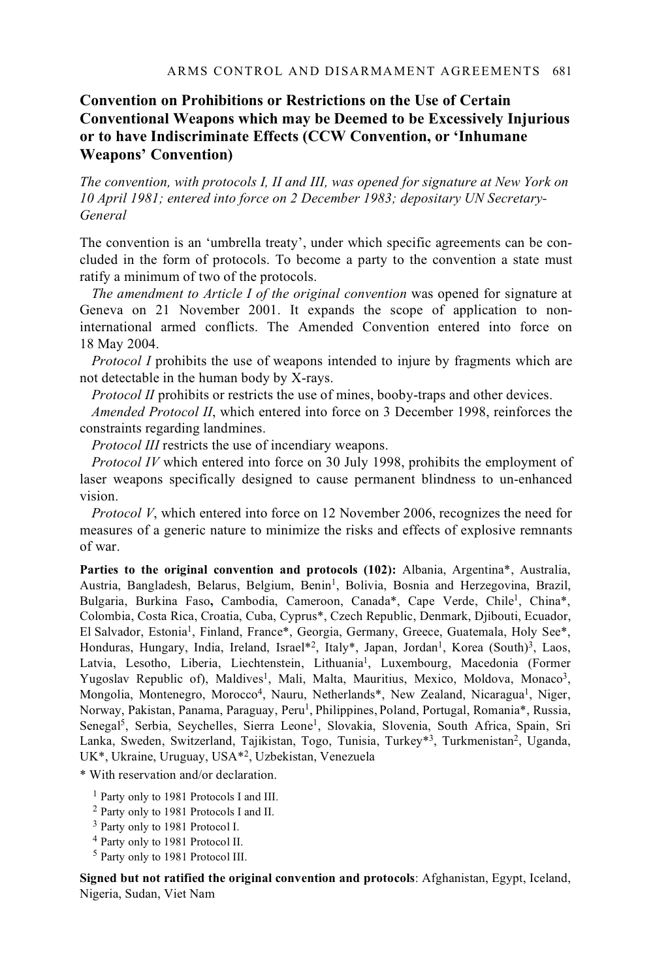# **Convention on Prohibitions or Restrictions on the Use of Certain Conventional Weapons which may be Deemed to be Excessively Injurious or to have Indiscriminate Effects (CCW Convention, or 'Inhumane Weapons' Convention)**

*The convention, with protocols I, II and III, was opened for signature at New York on 10 April 1981; entered into force on 2 December 1983; depositary UN Secretary-General* 

The convention is an 'umbrella treaty', under which specific agreements can be concluded in the form of protocols. To become a party to the convention a state must ratify a minimum of two of the protocols.

*The amendment to Article I of the original convention* was opened for signature at Geneva on 21 November 2001. It expands the scope of application to noninternational armed conflicts. The Amended Convention entered into force on 18 May 2004.

*Protocol I* prohibits the use of weapons intended to injure by fragments which are not detectable in the human body by X-rays.

*Protocol II* prohibits or restricts the use of mines, booby-traps and other devices.

*Amended Protocol II*, which entered into force on 3 December 1998, reinforces the constraints regarding landmines.

*Protocol III* restricts the use of incendiary weapons.

*Protocol IV* which entered into force on 30 July 1998, prohibits the employment of laser weapons specifically designed to cause permanent blindness to un-enhanced vision.

*Protocol V*, which entered into force on 12 November 2006, recognizes the need for measures of a generic nature to minimize the risks and effects of explosive remnants of war.

Parties to the original convention and protocols (102): Albania, Argentina<sup>\*</sup>, Australia, Austria, Bangladesh, Belarus, Belgium, Benin1, Bolivia, Bosnia and Herzegovina, Brazil, Bulgaria, Burkina Faso**,** Cambodia, Cameroon, Canada\*, Cape Verde, Chile1, China\*, Colombia, Costa Rica, Croatia, Cuba, Cyprus\*, Czech Republic, Denmark, Djibouti, Ecuador, El Salvador, Estonia<sup>1</sup>, Finland, France\*, Georgia, Germany, Greece, Guatemala, Holy See\*, Honduras, Hungary, India, Ireland, Israel\*<sup>2</sup>, Italy\*, Japan, Jordan<sup>1</sup>, Korea (South)<sup>3</sup>, Laos, Latvia, Lesotho, Liberia, Liechtenstein, Lithuania<sup>1</sup>, Luxembourg, Macedonia (Former Yugoslav Republic of), Maldives<sup>1</sup>, Mali, Malta, Mauritius, Mexico, Moldova, Monaco<sup>3</sup>, Mongolia, Montenegro, Morocco<sup>4</sup>, Nauru, Netherlands\*, New Zealand, Nicaragua<sup>1</sup>, Niger, Norway, Pakistan, Panama, Paraguay, Peru<sup>1</sup>, Philippines, Poland, Portugal, Romania\*, Russia, Senegal<sup>5</sup>, Serbia, Seychelles, Sierra Leone<sup>1</sup>, Slovakia, Slovenia, South Africa, Spain, Sri Lanka, Sweden, Switzerland, Tajikistan, Togo, Tunisia, Turkey<sup>\*3</sup>, Turkmenistan<sup>2</sup>, Uganda, UK\*, Ukraine, Uruguay, USA\*2, Uzbekistan, Venezuela

\* With reservation and/or declaration.

<sup>1</sup> Party only to 1981 Protocols I and III.

- <sup>2</sup> Party only to 1981 Protocols I and II.
- <sup>3</sup> Party only to 1981 Protocol I.
- <sup>4</sup> Party only to 1981 Protocol II.

<sup>5</sup> Party only to 1981 Protocol III.

**Signed but not ratified the original convention and protocols**: Afghanistan, Egypt, Iceland, Nigeria, Sudan, Viet Nam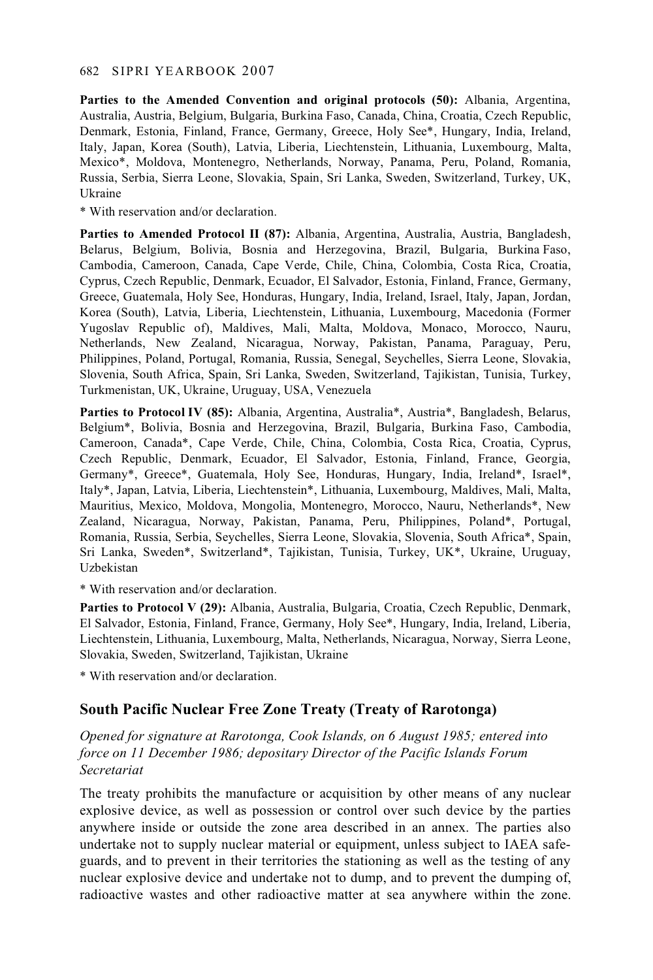**Parties to the Amended Convention and original protocols (50):** Albania, Argentina, Australia, Austria, Belgium, Bulgaria, Burkina Faso, Canada, China, Croatia, Czech Republic, Denmark, Estonia, Finland, France, Germany, Greece, Holy See\*, Hungary, India, Ireland, Italy, Japan, Korea (South), Latvia, Liberia, Liechtenstein, Lithuania, Luxembourg, Malta, Mexico\*, Moldova, Montenegro, Netherlands, Norway, Panama, Peru, Poland, Romania, Russia, Serbia, Sierra Leone, Slovakia, Spain, Sri Lanka, Sweden, Switzerland, Turkey, UK, Ukraine

\* With reservation and/or declaration.

Parties to Amended Protocol II (87): Albania, Argentina, Australia, Austria, Bangladesh, Belarus, Belgium, Bolivia, Bosnia and Herzegovina, Brazil, Bulgaria, Burkina Faso, Cambodia, Cameroon, Canada, Cape Verde, Chile, China, Colombia, Costa Rica, Croatia, Cyprus, Czech Republic, Denmark, Ecuador, El Salvador, Estonia, Finland, France, Germany, Greece, Guatemala, Holy See, Honduras, Hungary, India, Ireland, Israel, Italy, Japan, Jordan, Korea (South), Latvia, Liberia, Liechtenstein, Lithuania, Luxembourg, Macedonia (Former Yugoslav Republic of), Maldives, Mali, Malta, Moldova, Monaco, Morocco, Nauru, Netherlands, New Zealand, Nicaragua, Norway, Pakistan, Panama, Paraguay, Peru, Philippines, Poland, Portugal, Romania, Russia, Senegal, Seychelles, Sierra Leone, Slovakia, Slovenia, South Africa, Spain, Sri Lanka, Sweden, Switzerland, Tajikistan, Tunisia, Turkey, Turkmenistan, UK, Ukraine, Uruguay, USA, Venezuela

**Parties to Protocol IV (85):** Albania, Argentina, Australia\*, Austria\*, Bangladesh, Belarus, Belgium\*, Bolivia, Bosnia and Herzegovina, Brazil, Bulgaria, Burkina Faso, Cambodia, Cameroon, Canada\*, Cape Verde, Chile, China, Colombia, Costa Rica, Croatia, Cyprus, Czech Republic, Denmark, Ecuador, El Salvador, Estonia, Finland, France, Georgia, Germany\*, Greece\*, Guatemala, Holy See, Honduras, Hungary, India, Ireland\*, Israel\*, Italy\*, Japan, Latvia, Liberia, Liechtenstein\*, Lithuania, Luxembourg, Maldives, Mali, Malta, Mauritius, Mexico, Moldova, Mongolia, Montenegro, Morocco, Nauru, Netherlands\*, New Zealand, Nicaragua, Norway, Pakistan, Panama, Peru, Philippines, Poland\*, Portugal, Romania, Russia, Serbia, Seychelles, Sierra Leone, Slovakia, Slovenia, South Africa\*, Spain, Sri Lanka, Sweden\*, Switzerland\*, Tajikistan, Tunisia, Turkey, UK\*, Ukraine, Uruguay, Uzbekistan

\* With reservation and/or declaration.

**Parties to Protocol V (29):** Albania, Australia, Bulgaria, Croatia, Czech Republic, Denmark, El Salvador, Estonia, Finland, France, Germany, Holy See\*, Hungary, India, Ireland, Liberia, Liechtenstein, Lithuania, Luxembourg, Malta, Netherlands, Nicaragua, Norway, Sierra Leone, Slovakia, Sweden, Switzerland, Tajikistan, Ukraine

\* With reservation and/or declaration.

# **South Pacific Nuclear Free Zone Treaty (Treaty of Rarotonga)**

*Opened for signature at Rarotonga, Cook Islands, on 6 August 1985; entered into force on 11 December 1986; depositary Director of the Pacific Islands Forum Secretariat* 

The treaty prohibits the manufacture or acquisition by other means of any nuclear explosive device, as well as possession or control over such device by the parties anywhere inside or outside the zone area described in an annex. The parties also undertake not to supply nuclear material or equipment, unless subject to IAEA safeguards, and to prevent in their territories the stationing as well as the testing of any nuclear explosive device and undertake not to dump, and to prevent the dumping of, radioactive wastes and other radioactive matter at sea anywhere within the zone.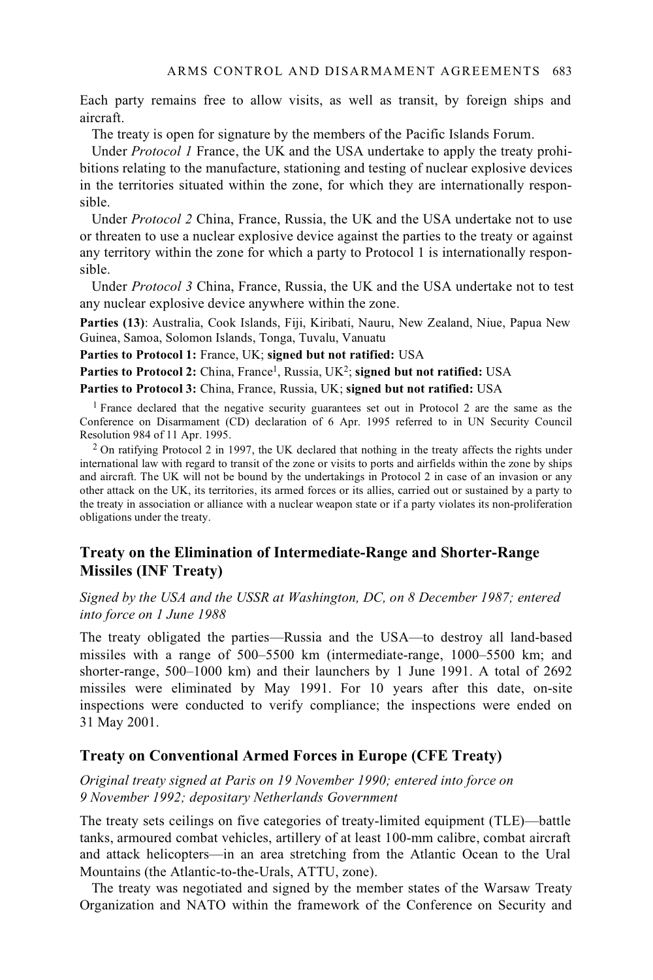Each party remains free to allow visits, as well as transit, by foreign ships and aircraft.

The treaty is open for signature by the members of the Pacific Islands Forum.

Under *Protocol 1* France, the UK and the USA undertake to apply the treaty prohibitions relating to the manufacture, stationing and testing of nuclear explosive devices in the territories situated within the zone, for which they are internationally responsible.

Under *Protocol 2* China, France, Russia, the UK and the USA undertake not to use or threaten to use a nuclear explosive device against the parties to the treaty or against any territory within the zone for which a party to Protocol 1 is internationally responsible.

Under *Protocol 3* China, France, Russia, the UK and the USA undertake not to test any nuclear explosive device anywhere within the zone.

**Parties (13)**: Australia, Cook Islands, Fiji, Kiribati, Nauru, New Zealand, Niue, Papua New Guinea, Samoa, Solomon Islands, Tonga, Tuvalu, Vanuatu

**Parties to Protocol 1:** France, UK; **signed but not ratified:** USA

**Parties to Protocol 2:** China, France<sup>1</sup>, Russia, UK<sup>2</sup>; **signed but not ratified:** USA

**Parties to Protocol 3:** China, France, Russia, UK; **signed but not ratified:** USA

<sup>1</sup> France declared that the negative security guarantees set out in Protocol 2 are the same as the Conference on Disarmament (CD) declaration of 6 Apr. 1995 referred to in UN Security Council

 $2$  On ratifying Protocol 2 in 1997, the UK declared that nothing in the treaty affects the rights under international law with regard to transit of the zone or visits to ports and airfields within the zone by ships and aircraft. The UK will not be bound by the undertakings in Protocol 2 in case of an invasion or any other attack on the UK, its territories, its armed forces or its allies, carried out or sustained by a party to the treaty in association or alliance with a nuclear weapon state or if a party violates its non-proliferation obligations under the treaty.

#### **Treaty on the Elimination of Intermediate-Range and Shorter-Range Missiles (INF Treaty)**

*Signed by the USA and the USSR at Washington, DC, on 8 December 1987; entered into force on 1 June 1988* 

The treaty obligated the parties—Russia and the USA—to destroy all land-based missiles with a range of 500–5500 km (intermediate-range, 1000–5500 km; and shorter-range, 500–1000 km) and their launchers by 1 June 1991. A total of 2692 missiles were eliminated by May 1991. For 10 years after this date, on-site inspections were conducted to verify compliance; the inspections were ended on 31 May 2001.

#### **Treaty on Conventional Armed Forces in Europe (CFE Treaty)**

*Original treaty signed at Paris on 19 November 1990; entered into force on 9 November 1992; depositary Netherlands Government* 

The treaty sets ceilings on five categories of treaty-limited equipment (TLE)—battle tanks, armoured combat vehicles, artillery of at least 100-mm calibre, combat aircraft and attack helicopters—in an area stretching from the Atlantic Ocean to the Ural Mountains (the Atlantic-to-the-Urals, ATTU, zone).

The treaty was negotiated and signed by the member states of the Warsaw Treaty Organization and NATO within the framework of the Conference on Security and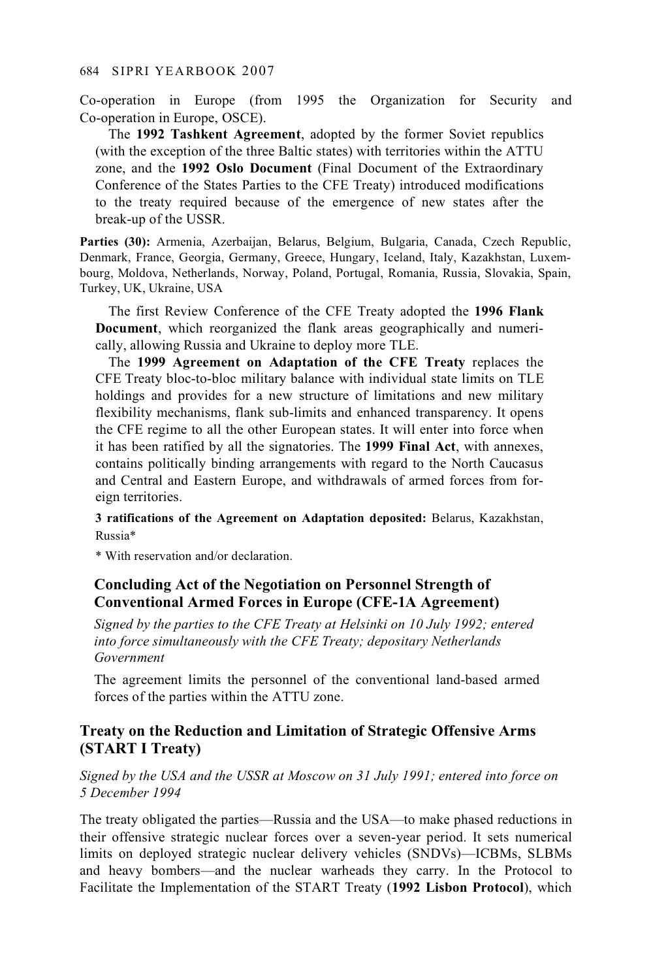Co-operation in Europe (from 1995 the Organization for Security and Co-operation in Europe, OSCE).

The **1992 Tashkent Agreement**, adopted by the former Soviet republics (with the exception of the three Baltic states) with territories within the ATTU zone, and the **1992 Oslo Document** (Final Document of the Extraordinary Conference of the States Parties to the CFE Treaty) introduced modifications to the treaty required because of the emergence of new states after the break-up of the USSR.

**Parties (30):** Armenia, Azerbaijan, Belarus, Belgium, Bulgaria, Canada, Czech Republic, Denmark, France, Georgia, Germany, Greece, Hungary, Iceland, Italy, Kazakhstan, Luxembourg, Moldova, Netherlands, Norway, Poland, Portugal, Romania, Russia, Slovakia, Spain, Turkey, UK, Ukraine, USA

The first Review Conference of the CFE Treaty adopted the **1996 Flank Document**, which reorganized the flank areas geographically and numerically, allowing Russia and Ukraine to deploy more TLE.

The **1999 Agreement on Adaptation of the CFE Treaty** replaces the CFE Treaty bloc-to-bloc military balance with individual state limits on TLE holdings and provides for a new structure of limitations and new military flexibility mechanisms, flank sub-limits and enhanced transparency. It opens the CFE regime to all the other European states. It will enter into force when it has been ratified by all the signatories. The **1999 Final Act**, with annexes, contains politically binding arrangements with regard to the North Caucasus and Central and Eastern Europe, and withdrawals of armed forces from foreign territories.

**3 ratifications of the Agreement on Adaptation deposited:** Belarus, Kazakhstan, Russia\*

\* With reservation and/or declaration.

# **Concluding Act of the Negotiation on Personnel Strength of Conventional Armed Forces in Europe (CFE-1A Agreement)**

*Signed by the parties to the CFE Treaty at Helsinki on 10 July 1992; entered into force simultaneously with the CFE Treaty; depositary Netherlands Government* 

The agreement limits the personnel of the conventional land-based armed forces of the parties within the ATTU zone.

### **Treaty on the Reduction and Limitation of Strategic Offensive Arms (START I Treaty)**

*Signed by the USA and the USSR at Moscow on 31 July 1991; entered into force on 5 December 1994* 

The treaty obligated the parties—Russia and the USA—to make phased reductions in their offensive strategic nuclear forces over a seven-year period. It sets numerical limits on deployed strategic nuclear delivery vehicles (SNDVs)—ICBMs, SLBMs and heavy bombers—and the nuclear warheads they carry. In the Protocol to Facilitate the Implementation of the START Treaty (**1992 Lisbon Protocol**), which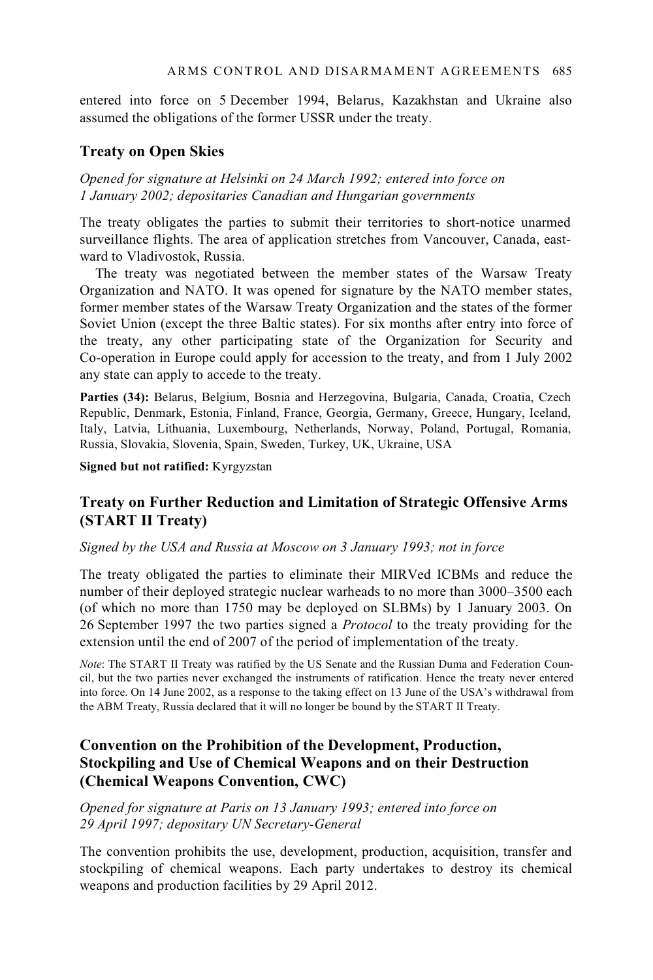entered into force on 5 December 1994, Belarus, Kazakhstan and Ukraine also assumed the obligations of the former USSR under the treaty.

#### **Treaty on Open Skies**

*Opened for signature at Helsinki on 24 March 1992; entered into force on 1 January 2002; depositaries Canadian and Hungarian governments* 

The treaty obligates the parties to submit their territories to short-notice unarmed surveillance flights. The area of application stretches from Vancouver, Canada, eastward to Vladivostok, Russia.

The treaty was negotiated between the member states of the Warsaw Treaty Organization and NATO. It was opened for signature by the NATO member states, former member states of the Warsaw Treaty Organization and the states of the former Soviet Union (except the three Baltic states). For six months after entry into force of the treaty, any other participating state of the Organization for Security and Co-operation in Europe could apply for accession to the treaty, and from 1 July 2002 any state can apply to accede to the treaty.

Parties (34): Belarus, Belgium, Bosnia and Herzegovina, Bulgaria, Canada, Croatia, Czech Republic, Denmark, Estonia, Finland, France, Georgia, Germany, Greece, Hungary, Iceland, Italy, Latvia, Lithuania, Luxembourg, Netherlands, Norway, Poland, Portugal, Romania, Russia, Slovakia, Slovenia, Spain, Sweden, Turkey, UK, Ukraine, USA

**Signed but not ratified:** Kyrgyzstan

# **Treaty on Further Reduction and Limitation of Strategic Offensive Arms (START II Treaty)**

#### *Signed by the USA and Russia at Moscow on 3 January 1993; not in force*

The treaty obligated the parties to eliminate their MIRVed ICBMs and reduce the number of their deployed strategic nuclear warheads to no more than 3000–3500 each (of which no more than 1750 may be deployed on SLBMs) by 1 January 2003. On 26 September 1997 the two parties signed a *Protocol* to the treaty providing for the extension until the end of 2007 of the period of implementation of the treaty.

*Note*: The START II Treaty was ratified by the US Senate and the Russian Duma and Federation Council, but the two parties never exchanged the instruments of ratification. Hence the treaty never entered into force. On 14 June 2002, as a response to the taking effect on 13 June of the USA's withdrawal from the ABM Treaty, Russia declared that it will no longer be bound by the START II Treaty.

# **Convention on the Prohibition of the Development, Production, Stockpiling and Use of Chemical Weapons and on their Destruction (Chemical Weapons Convention, CWC)**

*Opened for signature at Paris on 13 January 1993; entered into force on 29 April 1997; depositary UN Secretary-General* 

The convention prohibits the use, development, production, acquisition, transfer and stockpiling of chemical weapons. Each party undertakes to destroy its chemical weapons and production facilities by 29 April 2012.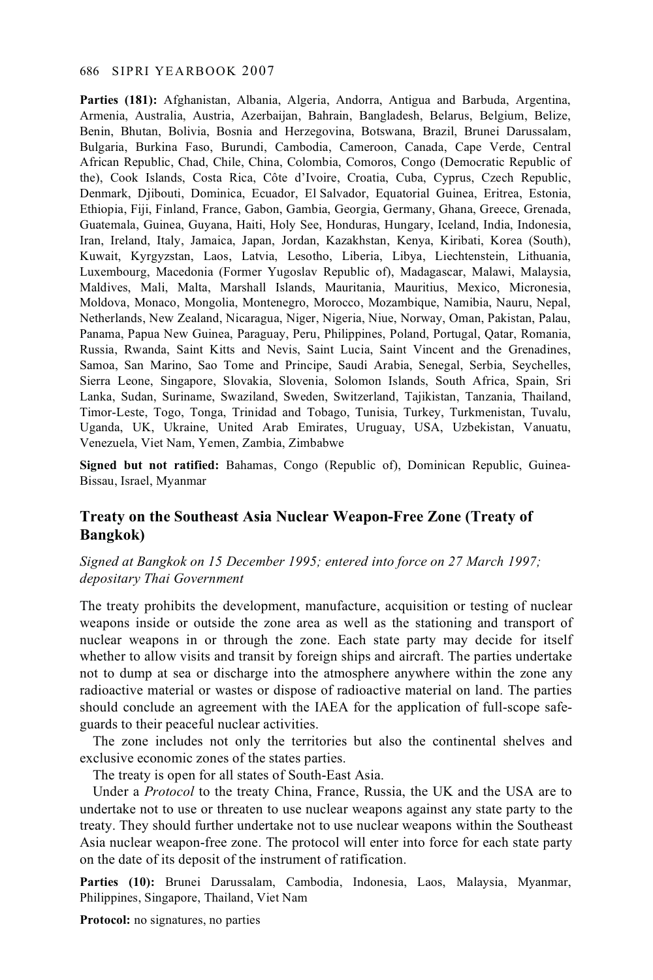**Parties (181):** Afghanistan, Albania, Algeria, Andorra, Antigua and Barbuda, Argentina, Armenia, Australia, Austria, Azerbaijan, Bahrain, Bangladesh, Belarus, Belgium, Belize, Benin, Bhutan, Bolivia, Bosnia and Herzegovina, Botswana, Brazil, Brunei Darussalam, Bulgaria, Burkina Faso, Burundi, Cambodia, Cameroon, Canada, Cape Verde, Central African Republic, Chad, Chile, China, Colombia, Comoros, Congo (Democratic Republic of the), Cook Islands, Costa Rica, Côte d'Ivoire, Croatia, Cuba, Cyprus, Czech Republic, Denmark, Djibouti, Dominica, Ecuador, El Salvador, Equatorial Guinea, Eritrea, Estonia, Ethiopia, Fiji, Finland, France, Gabon, Gambia, Georgia, Germany, Ghana, Greece, Grenada, Guatemala, Guinea, Guyana, Haiti, Holy See, Honduras, Hungary, Iceland, India, Indonesia, Iran, Ireland, Italy, Jamaica, Japan, Jordan, Kazakhstan, Kenya, Kiribati, Korea (South), Kuwait, Kyrgyzstan, Laos, Latvia, Lesotho, Liberia, Libya, Liechtenstein, Lithuania, Luxembourg, Macedonia (Former Yugoslav Republic of), Madagascar, Malawi, Malaysia, Maldives, Mali, Malta, Marshall Islands, Mauritania, Mauritius, Mexico, Micronesia, Moldova, Monaco, Mongolia, Montenegro, Morocco, Mozambique, Namibia, Nauru, Nepal, Netherlands, New Zealand, Nicaragua, Niger, Nigeria, Niue, Norway, Oman, Pakistan, Palau, Panama, Papua New Guinea, Paraguay, Peru, Philippines, Poland, Portugal, Qatar, Romania, Russia, Rwanda, Saint Kitts and Nevis, Saint Lucia, Saint Vincent and the Grenadines, Samoa, San Marino, Sao Tome and Principe, Saudi Arabia, Senegal, Serbia, Seychelles, Sierra Leone, Singapore, Slovakia, Slovenia, Solomon Islands, South Africa, Spain, Sri Lanka, Sudan, Suriname, Swaziland, Sweden, Switzerland, Tajikistan, Tanzania, Thailand, Timor-Leste, Togo, Tonga, Trinidad and Tobago, Tunisia, Turkey, Turkmenistan, Tuvalu, Uganda, UK, Ukraine, United Arab Emirates, Uruguay, USA, Uzbekistan, Vanuatu, Venezuela, Viet Nam, Yemen, Zambia, Zimbabwe

**Signed but not ratified:** Bahamas, Congo (Republic of), Dominican Republic, Guinea-Bissau, Israel, Myanmar

# **Treaty on the Southeast Asia Nuclear Weapon-Free Zone (Treaty of Bangkok)**

### *Signed at Bangkok on 15 December 1995; entered into force on 27 March 1997; depositary Thai Government*

The treaty prohibits the development, manufacture, acquisition or testing of nuclear weapons inside or outside the zone area as well as the stationing and transport of nuclear weapons in or through the zone. Each state party may decide for itself whether to allow visits and transit by foreign ships and aircraft. The parties undertake not to dump at sea or discharge into the atmosphere anywhere within the zone any radioactive material or wastes or dispose of radioactive material on land. The parties should conclude an agreement with the IAEA for the application of full-scope safeguards to their peaceful nuclear activities.

The zone includes not only the territories but also the continental shelves and exclusive economic zones of the states parties.

The treaty is open for all states of South-East Asia.

Under a *Protocol* to the treaty China, France, Russia, the UK and the USA are to undertake not to use or threaten to use nuclear weapons against any state party to the treaty. They should further undertake not to use nuclear weapons within the Southeast Asia nuclear weapon-free zone. The protocol will enter into force for each state party on the date of its deposit of the instrument of ratification.

Parties (10): Brunei Darussalam, Cambodia, Indonesia, Laos, Malaysia, Myanmar, Philippines, Singapore, Thailand, Viet Nam

**Protocol:** no signatures, no parties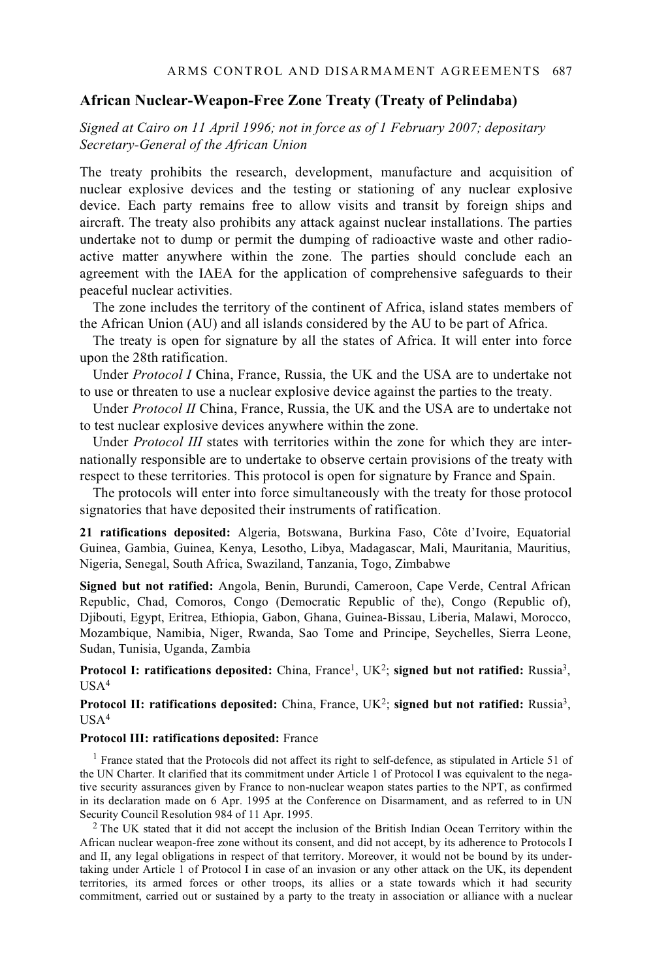### **African Nuclear-Weapon-Free Zone Treaty (Treaty of Pelindaba)**

*Signed at Cairo on 11 April 1996; not in force as of 1 February 2007; depositary Secretary-General of the African Union* 

The treaty prohibits the research, development, manufacture and acquisition of nuclear explosive devices and the testing or stationing of any nuclear explosive device. Each party remains free to allow visits and transit by foreign ships and aircraft. The treaty also prohibits any attack against nuclear installations. The parties undertake not to dump or permit the dumping of radioactive waste and other radioactive matter anywhere within the zone. The parties should conclude each an agreement with the IAEA for the application of comprehensive safeguards to their peaceful nuclear activities.

The zone includes the territory of the continent of Africa, island states members of the African Union (AU) and all islands considered by the AU to be part of Africa.

The treaty is open for signature by all the states of Africa. It will enter into force upon the 28th ratification.

Under *Protocol I* China, France, Russia, the UK and the USA are to undertake not to use or threaten to use a nuclear explosive device against the parties to the treaty.

Under *Protocol II* China, France, Russia, the UK and the USA are to undertake not to test nuclear explosive devices anywhere within the zone.

Under *Protocol III* states with territories within the zone for which they are internationally responsible are to undertake to observe certain provisions of the treaty with respect to these territories. This protocol is open for signature by France and Spain.

The protocols will enter into force simultaneously with the treaty for those protocol signatories that have deposited their instruments of ratification.

**21 ratifications deposited:** Algeria, Botswana, Burkina Faso, Côte d'Ivoire, Equatorial Guinea, Gambia, Guinea, Kenya, Lesotho, Libya, Madagascar, Mali, Mauritania, Mauritius, Nigeria, Senegal, South Africa, Swaziland, Tanzania, Togo, Zimbabwe

**Signed but not ratified:** Angola, Benin, Burundi, Cameroon, Cape Verde, Central African Republic, Chad, Comoros, Congo (Democratic Republic of the), Congo (Republic of), Djibouti, Egypt, Eritrea, Ethiopia, Gabon, Ghana, Guinea-Bissau, Liberia, Malawi, Morocco, Mozambique, Namibia, Niger, Rwanda, Sao Tome and Principe, Seychelles, Sierra Leone, Sudan, Tunisia, Uganda, Zambia

**Protocol I: ratifications deposited:** China, France<sup>1</sup>, UK<sup>2</sup>; **signed but not ratified:** Russia<sup>3</sup>,  $USA<sup>4</sup>$ 

**Protocol II: ratifications deposited:** China, France, UK<sup>2</sup>; **signed but not ratified:** Russia<sup>3</sup>,  $IISA<sup>4</sup>$ 

#### **Protocol III: ratifications deposited:** France

<sup>1</sup> France stated that the Protocols did not affect its right to self-defence, as stipulated in Article 51 of the UN Charter. It clarified that its commitment under Article 1 of Protocol I was equivalent to the negative security assurances given by France to non-nuclear weapon states parties to the NPT, as confirmed in its declaration made on 6 Apr. 1995 at the Conference on Disarmament, and as referred to in UN Security Council Resolution 984 of 11 Apr. 1995.

 $<sup>2</sup>$  The UK stated that it did not accept the inclusion of the British Indian Ocean Territory within the</sup> African nuclear weapon-free zone without its consent, and did not accept, by its adherence to Protocols I and II, any legal obligations in respect of that territory. Moreover, it would not be bound by its undertaking under Article 1 of Protocol I in case of an invasion or any other attack on the UK, its dependent territories, its armed forces or other troops, its allies or a state towards which it had security commitment, carried out or sustained by a party to the treaty in association or alliance with a nuclear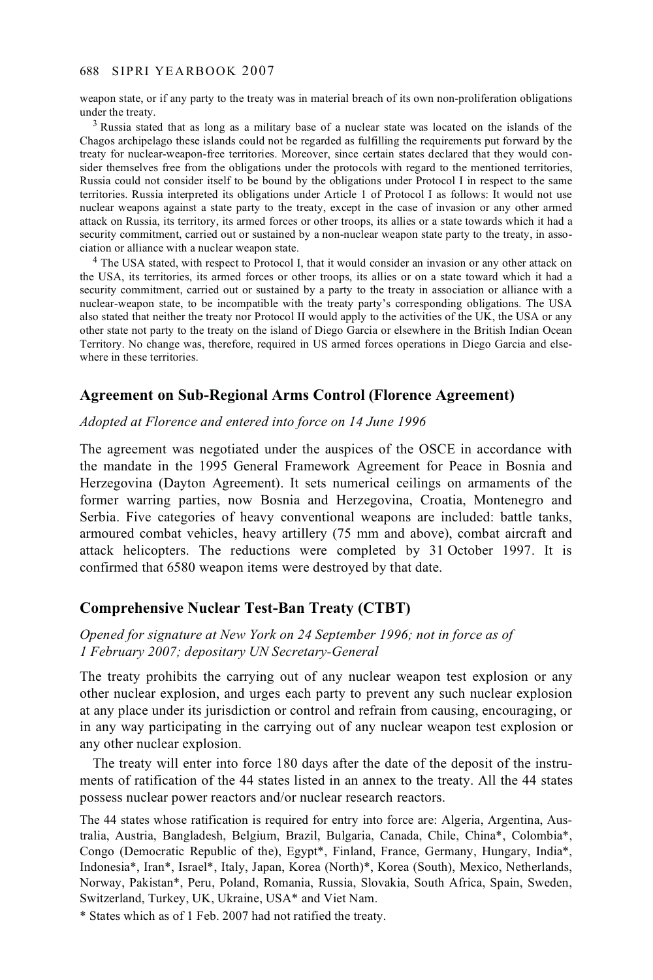weapon state, or if any party to the treaty was in material breach of its own non-proliferation obligations under the treaty.

<sup>3</sup> Russia stated that as long as a military base of a nuclear state was located on the islands of the Chagos archipelago these islands could not be regarded as fulfilling the requirements put forward by the treaty for nuclear-weapon-free territories. Moreover, since certain states declared that they would consider themselves free from the obligations under the protocols with regard to the mentioned territories, Russia could not consider itself to be bound by the obligations under Protocol I in respect to the same territories. Russia interpreted its obligations under Article 1 of Protocol I as follows: It would not use nuclear weapons against a state party to the treaty, except in the case of invasion or any other armed attack on Russia, its territory, its armed forces or other troops, its allies or a state towards which it had a security commitment, carried out or sustained by a non-nuclear weapon state party to the treaty, in asso-<br>ciation or alliance with a nuclear weapon state.

<sup>4</sup> The USA stated, with respect to Protocol I, that it would consider an invasion or any other attack on the USA, its territories, its armed forces or other troops, its allies or on a state toward which it had a security commitment, carried out or sustained by a party to the treaty in association or alliance with a nuclear-weapon state, to be incompatible with the treaty party's corresponding obligations. The USA also stated that neither the treaty nor Protocol II would apply to the activities of the UK, the USA or any other state not party to the treaty on the island of Diego Garcia or elsewhere in the British Indian Ocean Territory. No change was, therefore, required in US armed forces operations in Diego Garcia and elsewhere in these territories.

#### **Agreement on Sub-Regional Arms Control (Florence Agreement)**

#### *Adopted at Florence and entered into force on 14 June 1996*

The agreement was negotiated under the auspices of the OSCE in accordance with the mandate in the 1995 General Framework Agreement for Peace in Bosnia and Herzegovina (Dayton Agreement). It sets numerical ceilings on armaments of the former warring parties, now Bosnia and Herzegovina, Croatia, Montenegro and Serbia. Five categories of heavy conventional weapons are included: battle tanks, armoured combat vehicles, heavy artillery (75 mm and above), combat aircraft and attack helicopters. The reductions were completed by 31 October 1997. It is confirmed that 6580 weapon items were destroyed by that date.

#### **Comprehensive Nuclear Test-Ban Treaty (CTBT)**

### *Opened for signature at New York on 24 September 1996; not in force as of 1 February 2007; depositary UN Secretary-General*

The treaty prohibits the carrying out of any nuclear weapon test explosion or any other nuclear explosion, and urges each party to prevent any such nuclear explosion at any place under its jurisdiction or control and refrain from causing, encouraging, or in any way participating in the carrying out of any nuclear weapon test explosion or any other nuclear explosion.

The treaty will enter into force 180 days after the date of the deposit of the instruments of ratification of the 44 states listed in an annex to the treaty. All the 44 states possess nuclear power reactors and/or nuclear research reactors.

The 44 states whose ratification is required for entry into force are: Algeria, Argentina, Australia, Austria, Bangladesh, Belgium, Brazil, Bulgaria, Canada, Chile, China\*, Colombia\*, Congo (Democratic Republic of the), Egypt\*, Finland, France, Germany, Hungary, India\*, Indonesia\*, Iran\*, Israel\*, Italy, Japan, Korea (North)\*, Korea (South), Mexico, Netherlands, Norway, Pakistan\*, Peru, Poland, Romania, Russia, Slovakia, South Africa, Spain, Sweden, Switzerland, Turkey, UK, Ukraine, USA\* and Viet Nam.

\* States which as of 1 Feb. 2007 had not ratified the treaty.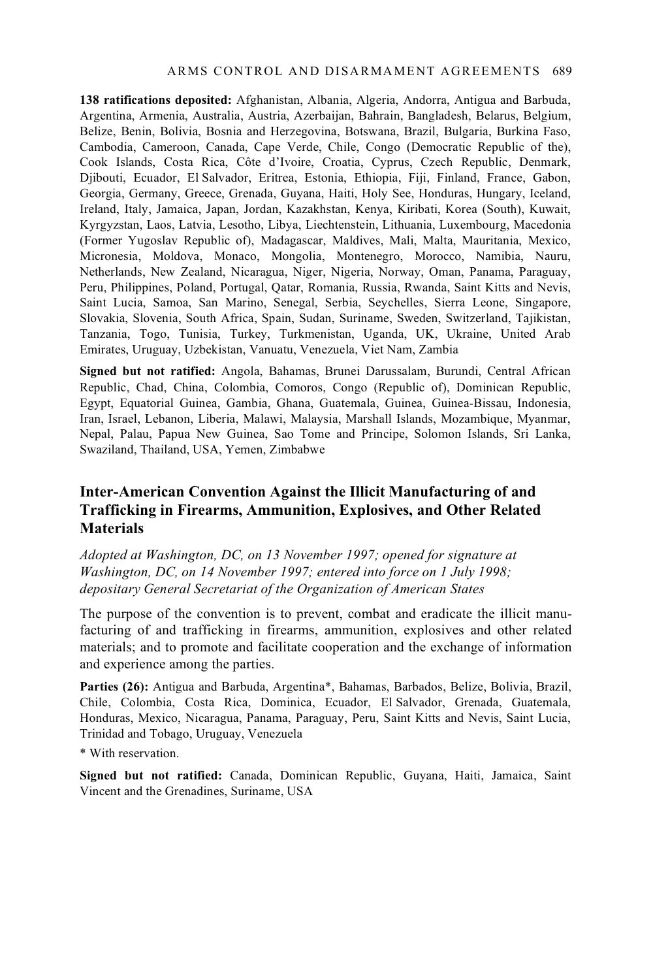**138 ratifications deposited:** Afghanistan, Albania, Algeria, Andorra, Antigua and Barbuda, Argentina, Armenia, Australia, Austria, Azerbaijan, Bahrain, Bangladesh, Belarus, Belgium, Belize, Benin, Bolivia, Bosnia and Herzegovina, Botswana, Brazil, Bulgaria, Burkina Faso, Cambodia, Cameroon, Canada, Cape Verde, Chile, Congo (Democratic Republic of the), Cook Islands, Costa Rica, Côte d'Ivoire, Croatia, Cyprus, Czech Republic, Denmark, Djibouti, Ecuador, El Salvador, Eritrea, Estonia, Ethiopia, Fiji, Finland, France, Gabon, Georgia, Germany, Greece, Grenada, Guyana, Haiti, Holy See, Honduras, Hungary, Iceland, Ireland, Italy, Jamaica, Japan, Jordan, Kazakhstan, Kenya, Kiribati, Korea (South), Kuwait, Kyrgyzstan, Laos, Latvia, Lesotho, Libya, Liechtenstein, Lithuania, Luxembourg, Macedonia (Former Yugoslav Republic of), Madagascar, Maldives, Mali, Malta, Mauritania, Mexico, Micronesia, Moldova, Monaco, Mongolia, Montenegro, Morocco, Namibia, Nauru, Netherlands, New Zealand, Nicaragua, Niger, Nigeria, Norway, Oman, Panama, Paraguay, Peru, Philippines, Poland, Portugal, Qatar, Romania, Russia, Rwanda, Saint Kitts and Nevis, Saint Lucia, Samoa, San Marino, Senegal, Serbia, Seychelles, Sierra Leone, Singapore, Slovakia, Slovenia, South Africa, Spain, Sudan, Suriname, Sweden, Switzerland, Tajikistan, Tanzania, Togo, Tunisia, Turkey, Turkmenistan, Uganda, UK, Ukraine, United Arab Emirates, Uruguay, Uzbekistan, Vanuatu, Venezuela, Viet Nam, Zambia

**Signed but not ratified:** Angola, Bahamas, Brunei Darussalam, Burundi, Central African Republic, Chad, China, Colombia, Comoros, Congo (Republic of), Dominican Republic, Egypt, Equatorial Guinea, Gambia, Ghana, Guatemala, Guinea, Guinea-Bissau, Indonesia, Iran, Israel, Lebanon, Liberia, Malawi, Malaysia, Marshall Islands, Mozambique, Myanmar, Nepal, Palau, Papua New Guinea, Sao Tome and Principe, Solomon Islands, Sri Lanka, Swaziland, Thailand, USA, Yemen, Zimbabwe

# **Inter-American Convention Against the Illicit Manufacturing of and Trafficking in Firearms, Ammunition, Explosives, and Other Related Materials**

*Adopted at Washington, DC, on 13 November 1997; opened for signature at Washington, DC, on 14 November 1997; entered into force on 1 July 1998; depositary General Secretariat of the Organization of American States* 

The purpose of the convention is to prevent, combat and eradicate the illicit manufacturing of and trafficking in firearms, ammunition, explosives and other related materials; and to promote and facilitate cooperation and the exchange of information and experience among the parties.

**Parties (26):** Antigua and Barbuda, Argentina\*, Bahamas, Barbados, Belize, Bolivia, Brazil, Chile, Colombia, Costa Rica, Dominica, Ecuador, El Salvador, Grenada, Guatemala, Honduras, Mexico, Nicaragua, Panama, Paraguay, Peru, Saint Kitts and Nevis, Saint Lucia, Trinidad and Tobago, Uruguay, Venezuela

\* With reservation.

**Signed but not ratified:** Canada, Dominican Republic, Guyana, Haiti, Jamaica, Saint Vincent and the Grenadines, Suriname, USA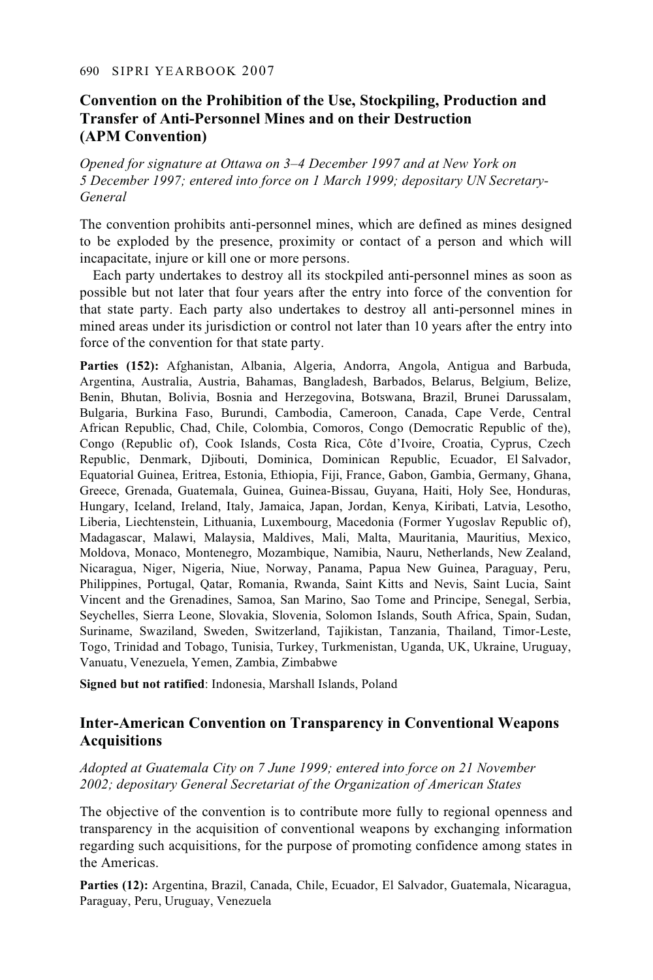# **Convention on the Prohibition of the Use, Stockpiling, Production and Transfer of Anti-Personnel Mines and on their Destruction (APM Convention)**

*Opened for signature at Ottawa on 3–4 December 1997 and at New York on 5 December 1997; entered into force on 1 March 1999; depositary UN Secretary-General* 

The convention prohibits anti-personnel mines, which are defined as mines designed to be exploded by the presence, proximity or contact of a person and which will incapacitate, injure or kill one or more persons.

Each party undertakes to destroy all its stockpiled anti-personnel mines as soon as possible but not later that four years after the entry into force of the convention for that state party. Each party also undertakes to destroy all anti-personnel mines in mined areas under its jurisdiction or control not later than 10 years after the entry into force of the convention for that state party.

**Parties (152):** Afghanistan, Albania, Algeria, Andorra, Angola, Antigua and Barbuda, Argentina, Australia, Austria, Bahamas, Bangladesh, Barbados, Belarus, Belgium, Belize, Benin, Bhutan, Bolivia, Bosnia and Herzegovina, Botswana, Brazil, Brunei Darussalam, Bulgaria, Burkina Faso, Burundi, Cambodia, Cameroon, Canada, Cape Verde, Central African Republic, Chad, Chile, Colombia, Comoros, Congo (Democratic Republic of the), Congo (Republic of), Cook Islands, Costa Rica, Côte d'Ivoire, Croatia, Cyprus, Czech Republic, Denmark, Djibouti, Dominica, Dominican Republic, Ecuador, El Salvador, Equatorial Guinea, Eritrea, Estonia, Ethiopia, Fiji, France, Gabon, Gambia, Germany, Ghana, Greece, Grenada, Guatemala, Guinea, Guinea-Bissau, Guyana, Haiti, Holy See, Honduras, Hungary, Iceland, Ireland, Italy, Jamaica, Japan, Jordan, Kenya, Kiribati, Latvia, Lesotho, Liberia, Liechtenstein, Lithuania, Luxembourg, Macedonia (Former Yugoslav Republic of), Madagascar, Malawi, Malaysia, Maldives, Mali, Malta, Mauritania, Mauritius, Mexico, Moldova, Monaco, Montenegro, Mozambique, Namibia, Nauru, Netherlands, New Zealand, Nicaragua, Niger, Nigeria, Niue, Norway, Panama, Papua New Guinea, Paraguay, Peru, Philippines, Portugal, Qatar, Romania, Rwanda, Saint Kitts and Nevis, Saint Lucia, Saint Vincent and the Grenadines, Samoa, San Marino, Sao Tome and Principe, Senegal, Serbia, Seychelles, Sierra Leone, Slovakia, Slovenia, Solomon Islands, South Africa, Spain, Sudan, Suriname, Swaziland, Sweden, Switzerland, Tajikistan, Tanzania, Thailand, Timor-Leste, Togo, Trinidad and Tobago, Tunisia, Turkey, Turkmenistan, Uganda, UK, Ukraine, Uruguay, Vanuatu, Venezuela, Yemen, Zambia, Zimbabwe

**Signed but not ratified**: Indonesia, Marshall Islands, Poland

# **Inter-American Convention on Transparency in Conventional Weapons Acquisitions**

### *Adopted at Guatemala City on 7 June 1999; entered into force on 21 November 2002; depositary General Secretariat of the Organization of American States*

The objective of the convention is to contribute more fully to regional openness and transparency in the acquisition of conventional weapons by exchanging information regarding such acquisitions, for the purpose of promoting confidence among states in the Americas.

**Parties (12):** Argentina, Brazil, Canada, Chile, Ecuador, El Salvador, Guatemala, Nicaragua, Paraguay, Peru, Uruguay, Venezuela